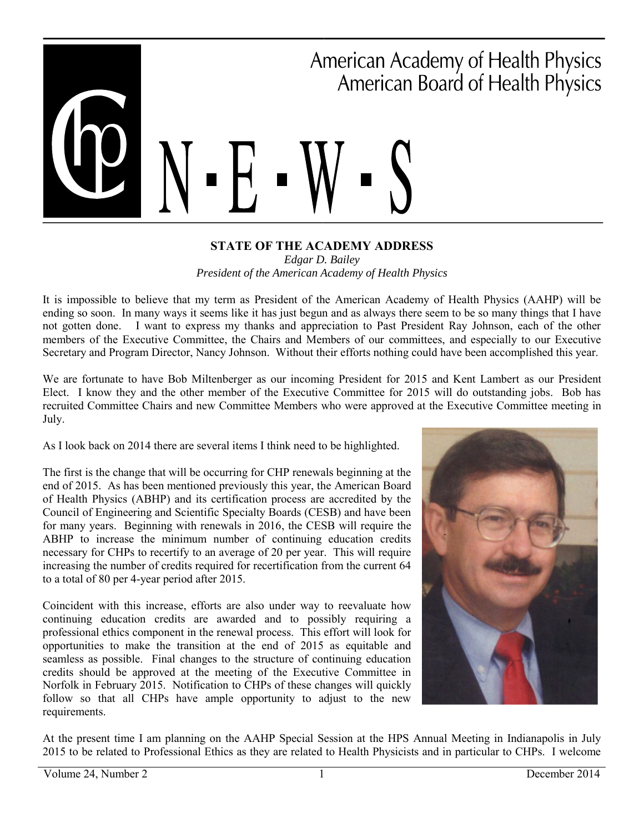# ■ ■ American Academy of Health Physics American Board of Health Physics ■

#### **STATE OF THE ACADEMY ADDRESS**  *Edgar D. Bailey President of the American Academy of Health Physics*

It is impossible to believe that my term as President of the American Academy of Health Physics (AAHP) will be ending so soon. In many ways it seems like it has just begun and as always there seem to be so many things that I have not gotten done. I want to express my thanks and appreciation to Past President Ray Johnson, each of the other members of the Executive Committee, the Chairs and Members of our committees, and especially to our Executive Secretary and Program Director, Nancy Johnson. Without their efforts nothing could have been accomplished this year.

We are fortunate to have Bob Miltenberger as our incoming President for 2015 and Kent Lambert as our President Elect. I know they and the other member of the Executive Committee for 2015 will do outstanding jobs. Bob has recruited Committee Chairs and new Committee Members who were approved at the Executive Committee meeting in July.

As I look back on 2014 there are several items I think need to be highlighted.

The first is the change that will be occurring for CHP renewals beginning at the end of 2015. As has been mentioned previously this year, the American Board of Health Physics (ABHP) and its certification process are accredited by the Council of Engineering and Scientific Specialty Boards (CESB) and have been for many years. Beginning with renewals in 2016, the CESB will require the ABHP to increase the minimum number of continuing education credits necessary for CHPs to recertify to an average of 20 per year. This will require increasing the number of credits required for recertification from the current 64 to a total of 80 per 4-year period after 2015.

Coincident with this increase, efforts are also under way to reevaluate how continuing education credits are awarded and to possibly requiring a professional ethics component in the renewal process. This effort will look for opportunities to make the transition at the end of 2015 as equitable and seamless as possible. Final changes to the structure of continuing education credits should be approved at the meeting of the Executive Committee in Norfolk in February 2015. Notification to CHPs of these changes will quickly follow so that all CHPs have ample opportunity to adjust to the new requirements.



At the present time I am planning on the AAHP Special Session at the HPS Annual Meeting in Indianapolis in July 2015 to be related to Professional Ethics as they are related to Health Physicists and in particular to CHPs. I welcome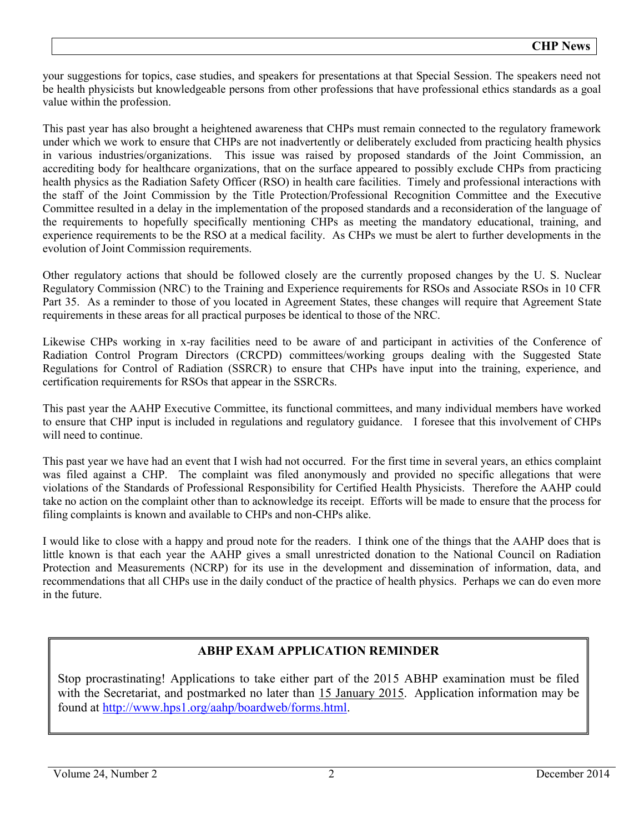your suggestions for topics, case studies, and speakers for presentations at that Special Session. The speakers need not be health physicists but knowledgeable persons from other professions that have professional ethics standards as a goal value within the profession.

This past year has also brought a heightened awareness that CHPs must remain connected to the regulatory framework under which we work to ensure that CHPs are not inadvertently or deliberately excluded from practicing health physics in various industries/organizations. This issue was raised by proposed standards of the Joint Commission, an accrediting body for healthcare organizations, that on the surface appeared to possibly exclude CHPs from practicing health physics as the Radiation Safety Officer (RSO) in health care facilities. Timely and professional interactions with the staff of the Joint Commission by the Title Protection/Professional Recognition Committee and the Executive Committee resulted in a delay in the implementation of the proposed standards and a reconsideration of the language of the requirements to hopefully specifically mentioning CHPs as meeting the mandatory educational, training, and experience requirements to be the RSO at a medical facility. As CHPs we must be alert to further developments in the evolution of Joint Commission requirements.

Other regulatory actions that should be followed closely are the currently proposed changes by the U. S. Nuclear Regulatory Commission (NRC) to the Training and Experience requirements for RSOs and Associate RSOs in 10 CFR Part 35. As a reminder to those of you located in Agreement States, these changes will require that Agreement State requirements in these areas for all practical purposes be identical to those of the NRC.

Likewise CHPs working in x-ray facilities need to be aware of and participant in activities of the Conference of Radiation Control Program Directors (CRCPD) committees/working groups dealing with the Suggested State Regulations for Control of Radiation (SSRCR) to ensure that CHPs have input into the training, experience, and certification requirements for RSOs that appear in the SSRCRs.

This past year the AAHP Executive Committee, its functional committees, and many individual members have worked to ensure that CHP input is included in regulations and regulatory guidance. I foresee that this involvement of CHPs will need to continue.

This past year we have had an event that I wish had not occurred. For the first time in several years, an ethics complaint was filed against a CHP. The complaint was filed anonymously and provided no specific allegations that were violations of the Standards of Professional Responsibility for Certified Health Physicists. Therefore the AAHP could take no action on the complaint other than to acknowledge its receipt. Efforts will be made to ensure that the process for filing complaints is known and available to CHPs and non-CHPs alike.

I would like to close with a happy and proud note for the readers. I think one of the things that the AAHP does that is little known is that each year the AAHP gives a small unrestricted donation to the National Council on Radiation Protection and Measurements (NCRP) for its use in the development and dissemination of information, data, and recommendations that all CHPs use in the daily conduct of the practice of health physics. Perhaps we can do even more in the future.

# **ABHP EXAM APPLICATION REMINDER**

Stop procrastinating! Applications to take either part of the 2015 ABHP examination must be filed with the Secretariat, and postmarked no later than 15 January 2015. Application information may be found at [http://www.hps1.org/aahp/boardweb/forms.html.](http://www.hps1.org/aahp/boardweb/forms.html)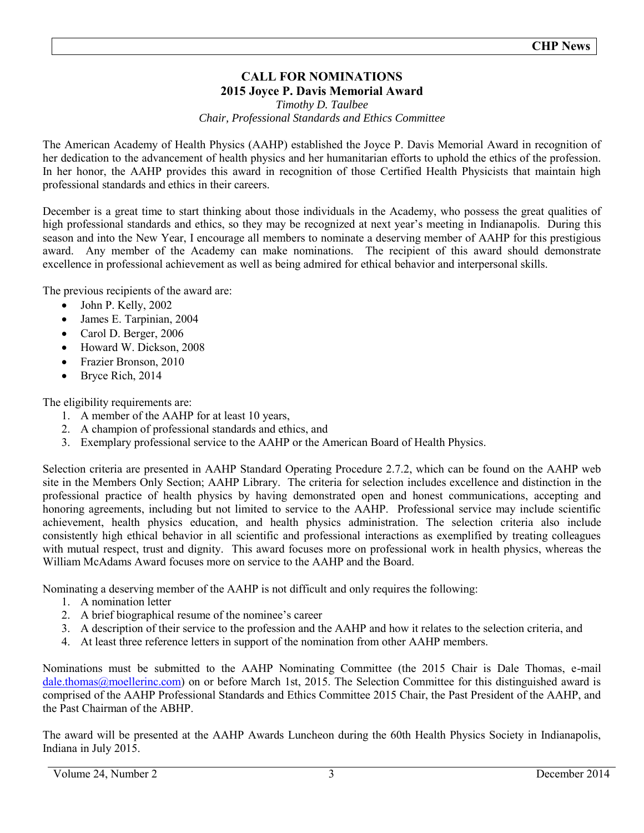# **CALL FOR NOMINATIONS 2015 Joyce P. Davis Memorial Award**

### *Timothy D. Taulbee Chair, Professional Standards and Ethics Committee*

The American Academy of Health Physics (AAHP) established the Joyce P. Davis Memorial Award in recognition of her dedication to the advancement of health physics and her humanitarian efforts to uphold the ethics of the profession. In her honor, the AAHP provides this award in recognition of those Certified Health Physicists that maintain high professional standards and ethics in their careers.

December is a great time to start thinking about those individuals in the Academy, who possess the great qualities of high professional standards and ethics, so they may be recognized at next year's meeting in Indianapolis. During this season and into the New Year, I encourage all members to nominate a deserving member of AAHP for this prestigious award. Any member of the Academy can make nominations. The recipient of this award should demonstrate excellence in professional achievement as well as being admired for ethical behavior and interpersonal skills.

The previous recipients of the award are:

- John P. Kelly, 2002
- James E. Tarpinian, 2004
- Carol D. Berger, 2006
- Howard W. Dickson, 2008
- Frazier Bronson, 2010
- Bryce Rich, 2014

The eligibility requirements are:

- 1. A member of the AAHP for at least 10 years,
- 2. A champion of professional standards and ethics, and
- 3. Exemplary professional service to the AAHP or the American Board of Health Physics.

Selection criteria are presented in AAHP Standard Operating Procedure 2.7.2, which can be found on the AAHP web site in the Members Only Section; AAHP Library. The criteria for selection includes excellence and distinction in the professional practice of health physics by having demonstrated open and honest communications, accepting and honoring agreements, including but not limited to service to the AAHP. Professional service may include scientific achievement, health physics education, and health physics administration. The selection criteria also include consistently high ethical behavior in all scientific and professional interactions as exemplified by treating colleagues with mutual respect, trust and dignity. This award focuses more on professional work in health physics, whereas the William McAdams Award focuses more on service to the AAHP and the Board.

Nominating a deserving member of the AAHP is not difficult and only requires the following:

- 1. A nomination letter
- 2. A brief biographical resume of the nominee's career
- 3. A description of their service to the profession and the AAHP and how it relates to the selection criteria, and
- 4. At least three reference letters in support of the nomination from other AAHP members.

Nominations must be submitted to the AAHP Nominating Committee (the 2015 Chair is Dale Thomas, e-mail [dale.thomas@moellerinc.com\)](mailto:dale.thomas@moellerinc.com) on or before March 1st, 2015. The Selection Committee for this distinguished award is comprised of the AAHP Professional Standards and Ethics Committee 2015 Chair, the Past President of the AAHP, and the Past Chairman of the ABHP.

The award will be presented at the AAHP Awards Luncheon during the 60th Health Physics Society in Indianapolis, Indiana in July 2015.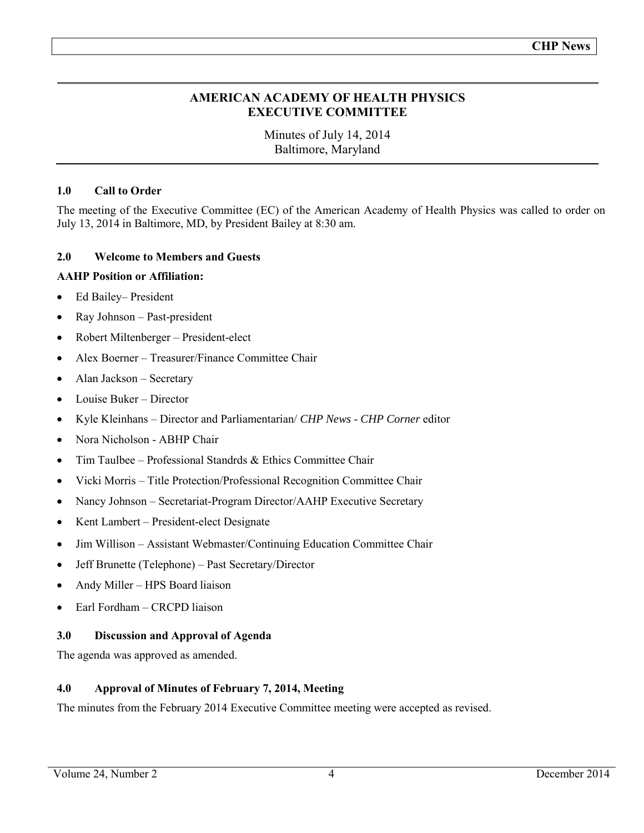# **AMERICAN ACADEMY OF HEALTH PHYSICS EXECUTIVE COMMITTEE**

Minutes of July 14, 2014 Baltimore, Maryland

# **1.0 Call to Order**

The meeting of the Executive Committee (EC) of the American Academy of Health Physics was called to order on July 13, 2014 in Baltimore, MD, by President Bailey at 8:30 am.

# **2.0 Welcome to Members and Guests**

# **AAHP Position or Affiliation:**

- Ed Bailey– President
- Ray Johnson Past-president
- Robert Miltenberger President-elect
- Alex Boerner Treasurer/Finance Committee Chair
- Alan Jackson Secretary
- Louise Buker Director
- Kyle Kleinhans Director and Parliamentarian/ *CHP News CHP Corner* editor
- Nora Nicholson ABHP Chair
- $\bullet$  Tim Taulbee Professional Standrds & Ethics Committee Chair
- Vicki Morris Title Protection/Professional Recognition Committee Chair
- Nancy Johnson Secretariat-Program Director/AAHP Executive Secretary
- Kent Lambert President-elect Designate
- Jim Willison Assistant Webmaster/Continuing Education Committee Chair
- Jeff Brunette (Telephone) Past Secretary/Director
- Andy Miller HPS Board liaison
- Earl Fordham CRCPD liaison

# **3.0 Discussion and Approval of Agenda**

The agenda was approved as amended.

# **4.0 Approval of Minutes of February 7, 2014, Meeting**

The minutes from the February 2014 Executive Committee meeting were accepted as revised.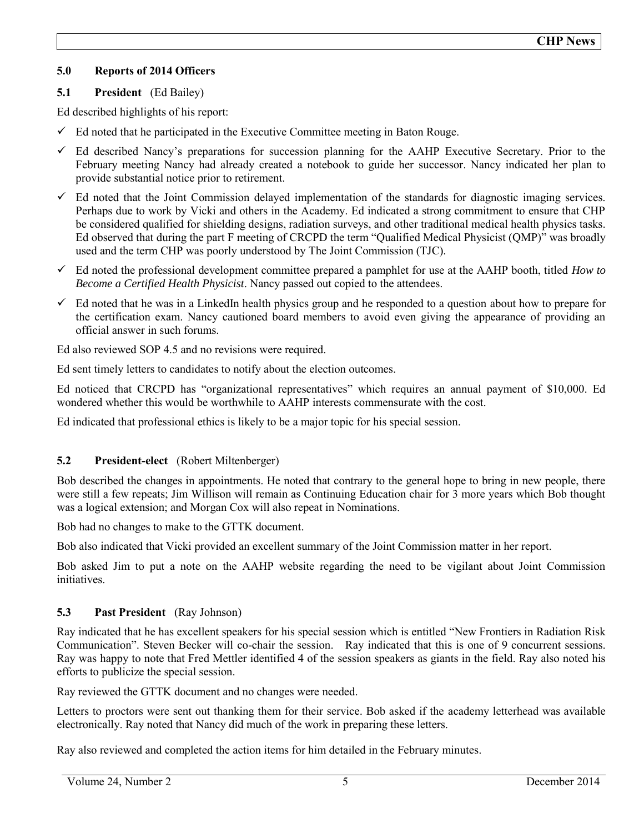# **5.0 Reports of 2014 Officers**

# **5.1 President** (Ed Bailey)

Ed described highlights of his report:

- $\checkmark$  Ed noted that he participated in the Executive Committee meeting in Baton Rouge.
- $\checkmark$  Ed described Nancy's preparations for succession planning for the AAHP Executive Secretary. Prior to the February meeting Nancy had already created a notebook to guide her successor. Nancy indicated her plan to provide substantial notice prior to retirement.
- $\checkmark$  Ed noted that the Joint Commission delayed implementation of the standards for diagnostic imaging services. Perhaps due to work by Vicki and others in the Academy. Ed indicated a strong commitment to ensure that CHP be considered qualified for shielding designs, radiation surveys, and other traditional medical health physics tasks. Ed observed that during the part F meeting of CRCPD the term "Qualified Medical Physicist (QMP)" was broadly used and the term CHP was poorly understood by The Joint Commission (TJC).
- Ed noted the professional development committee prepared a pamphlet for use at the AAHP booth, titled *How to Become a Certified Health Physicist*. Nancy passed out copied to the attendees.
- $\checkmark$  Ed noted that he was in a LinkedIn health physics group and he responded to a question about how to prepare for the certification exam. Nancy cautioned board members to avoid even giving the appearance of providing an official answer in such forums.

Ed also reviewed SOP 4.5 and no revisions were required.

Ed sent timely letters to candidates to notify about the election outcomes.

Ed noticed that CRCPD has "organizational representatives" which requires an annual payment of \$10,000. Ed wondered whether this would be worthwhile to AAHP interests commensurate with the cost.

Ed indicated that professional ethics is likely to be a major topic for his special session.

# **5.2 President-elect** (Robert Miltenberger)

Bob described the changes in appointments. He noted that contrary to the general hope to bring in new people, there were still a few repeats; Jim Willison will remain as Continuing Education chair for 3 more years which Bob thought was a logical extension; and Morgan Cox will also repeat in Nominations.

Bob had no changes to make to the GTTK document.

Bob also indicated that Vicki provided an excellent summary of the Joint Commission matter in her report.

Bob asked Jim to put a note on the AAHP website regarding the need to be vigilant about Joint Commission initiatives.

# **5.3 Past President** (Ray Johnson)

Ray indicated that he has excellent speakers for his special session which is entitled "New Frontiers in Radiation Risk Communication". Steven Becker will co-chair the session. Ray indicated that this is one of 9 concurrent sessions. Ray was happy to note that Fred Mettler identified 4 of the session speakers as giants in the field. Ray also noted his efforts to publicize the special session.

Ray reviewed the GTTK document and no changes were needed.

Letters to proctors were sent out thanking them for their service. Bob asked if the academy letterhead was available electronically. Ray noted that Nancy did much of the work in preparing these letters.

Ray also reviewed and completed the action items for him detailed in the February minutes.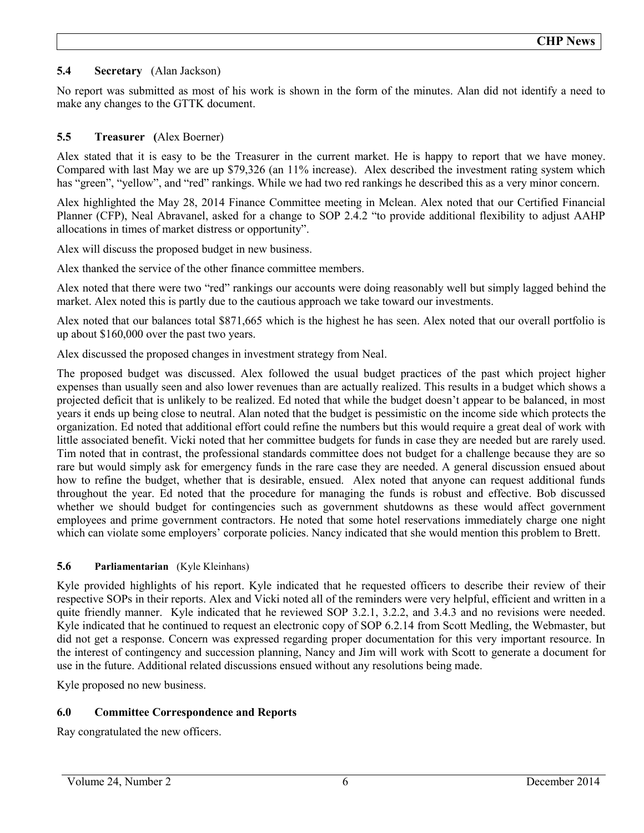# **5.4 Secretary** (Alan Jackson)

No report was submitted as most of his work is shown in the form of the minutes. Alan did not identify a need to make any changes to the GTTK document.

# **5.5 Treasurer (**Alex Boerner)

Alex stated that it is easy to be the Treasurer in the current market. He is happy to report that we have money. Compared with last May we are up \$79,326 (an 11% increase). Alex described the investment rating system which has "green", "yellow", and "red" rankings. While we had two red rankings he described this as a very minor concern.

Alex highlighted the May 28, 2014 Finance Committee meeting in Mclean. Alex noted that our Certified Financial Planner (CFP), Neal Abravanel, asked for a change to SOP 2.4.2 "to provide additional flexibility to adjust AAHP allocations in times of market distress or opportunity".

Alex will discuss the proposed budget in new business.

Alex thanked the service of the other finance committee members.

Alex noted that there were two "red" rankings our accounts were doing reasonably well but simply lagged behind the market. Alex noted this is partly due to the cautious approach we take toward our investments.

Alex noted that our balances total \$871,665 which is the highest he has seen. Alex noted that our overall portfolio is up about \$160,000 over the past two years.

Alex discussed the proposed changes in investment strategy from Neal.

The proposed budget was discussed. Alex followed the usual budget practices of the past which project higher expenses than usually seen and also lower revenues than are actually realized. This results in a budget which shows a projected deficit that is unlikely to be realized. Ed noted that while the budget doesn't appear to be balanced, in most years it ends up being close to neutral. Alan noted that the budget is pessimistic on the income side which protects the organization. Ed noted that additional effort could refine the numbers but this would require a great deal of work with little associated benefit. Vicki noted that her committee budgets for funds in case they are needed but are rarely used. Tim noted that in contrast, the professional standards committee does not budget for a challenge because they are so rare but would simply ask for emergency funds in the rare case they are needed. A general discussion ensued about how to refine the budget, whether that is desirable, ensued. Alex noted that anyone can request additional funds throughout the year. Ed noted that the procedure for managing the funds is robust and effective. Bob discussed whether we should budget for contingencies such as government shutdowns as these would affect government employees and prime government contractors. He noted that some hotel reservations immediately charge one night which can violate some employers' corporate policies. Nancy indicated that she would mention this problem to Brett.

# **5.6 Parliamentarian** (Kyle Kleinhans)

Kyle provided highlights of his report. Kyle indicated that he requested officers to describe their review of their respective SOPs in their reports. Alex and Vicki noted all of the reminders were very helpful, efficient and written in a quite friendly manner. Kyle indicated that he reviewed SOP 3.2.1, 3.2.2, and 3.4.3 and no revisions were needed. Kyle indicated that he continued to request an electronic copy of SOP 6.2.14 from Scott Medling, the Webmaster, but did not get a response. Concern was expressed regarding proper documentation for this very important resource. In the interest of contingency and succession planning, Nancy and Jim will work with Scott to generate a document for use in the future. Additional related discussions ensued without any resolutions being made.

Kyle proposed no new business.

# **6.0 Committee Correspondence and Reports**

Ray congratulated the new officers.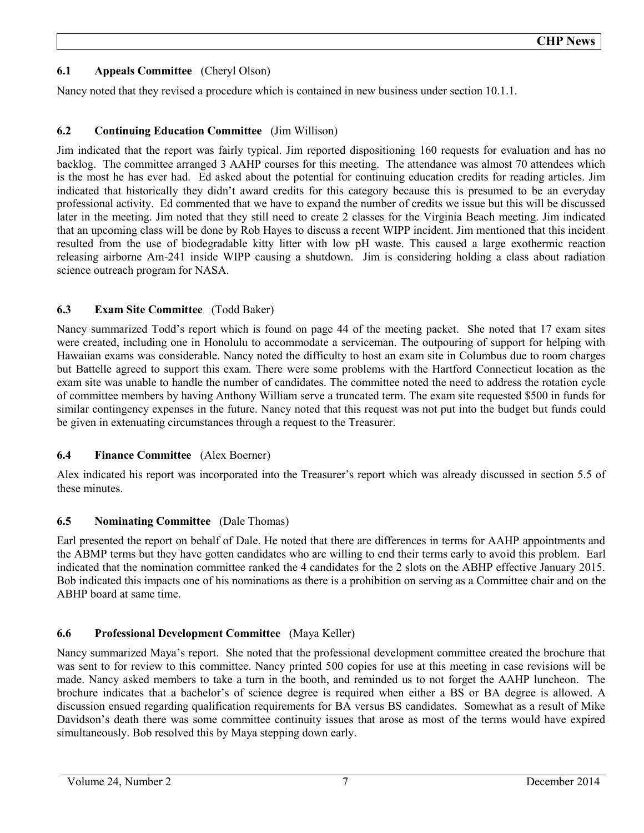# **6.1 Appeals Committee** (Cheryl Olson)

Nancy noted that they revised a procedure which is contained in new business under section 10.1.1.

# **6.2 Continuing Education Committee** (Jim Willison)

Jim indicated that the report was fairly typical. Jim reported dispositioning 160 requests for evaluation and has no backlog. The committee arranged 3 AAHP courses for this meeting. The attendance was almost 70 attendees which is the most he has ever had. Ed asked about the potential for continuing education credits for reading articles. Jim indicated that historically they didn't award credits for this category because this is presumed to be an everyday professional activity. Ed commented that we have to expand the number of credits we issue but this will be discussed later in the meeting. Jim noted that they still need to create 2 classes for the Virginia Beach meeting. Jim indicated that an upcoming class will be done by Rob Hayes to discuss a recent WIPP incident. Jim mentioned that this incident resulted from the use of biodegradable kitty litter with low pH waste. This caused a large exothermic reaction releasing airborne Am-241 inside WIPP causing a shutdown. Jim is considering holding a class about radiation science outreach program for NASA.

# **6.3 Exam Site Committee** (Todd Baker)

Nancy summarized Todd's report which is found on page 44 of the meeting packet. She noted that 17 exam sites were created, including one in Honolulu to accommodate a serviceman. The outpouring of support for helping with Hawaiian exams was considerable. Nancy noted the difficulty to host an exam site in Columbus due to room charges but Battelle agreed to support this exam. There were some problems with the Hartford Connecticut location as the exam site was unable to handle the number of candidates. The committee noted the need to address the rotation cycle of committee members by having Anthony William serve a truncated term. The exam site requested \$500 in funds for similar contingency expenses in the future. Nancy noted that this request was not put into the budget but funds could be given in extenuating circumstances through a request to the Treasurer.

# **6.4 Finance Committee** (Alex Boerner)

Alex indicated his report was incorporated into the Treasurer's report which was already discussed in section 5.5 of these minutes.

# **6.5 Nominating Committee** (Dale Thomas)

Earl presented the report on behalf of Dale. He noted that there are differences in terms for AAHP appointments and the ABMP terms but they have gotten candidates who are willing to end their terms early to avoid this problem. Earl indicated that the nomination committee ranked the 4 candidates for the 2 slots on the ABHP effective January 2015. Bob indicated this impacts one of his nominations as there is a prohibition on serving as a Committee chair and on the ABHP board at same time.

# **6.6 Professional Development Committee** (Maya Keller)

Nancy summarized Maya's report. She noted that the professional development committee created the brochure that was sent to for review to this committee. Nancy printed 500 copies for use at this meeting in case revisions will be made. Nancy asked members to take a turn in the booth, and reminded us to not forget the AAHP luncheon. The brochure indicates that a bachelor's of science degree is required when either a BS or BA degree is allowed. A discussion ensued regarding qualification requirements for BA versus BS candidates. Somewhat as a result of Mike Davidson's death there was some committee continuity issues that arose as most of the terms would have expired simultaneously. Bob resolved this by Maya stepping down early.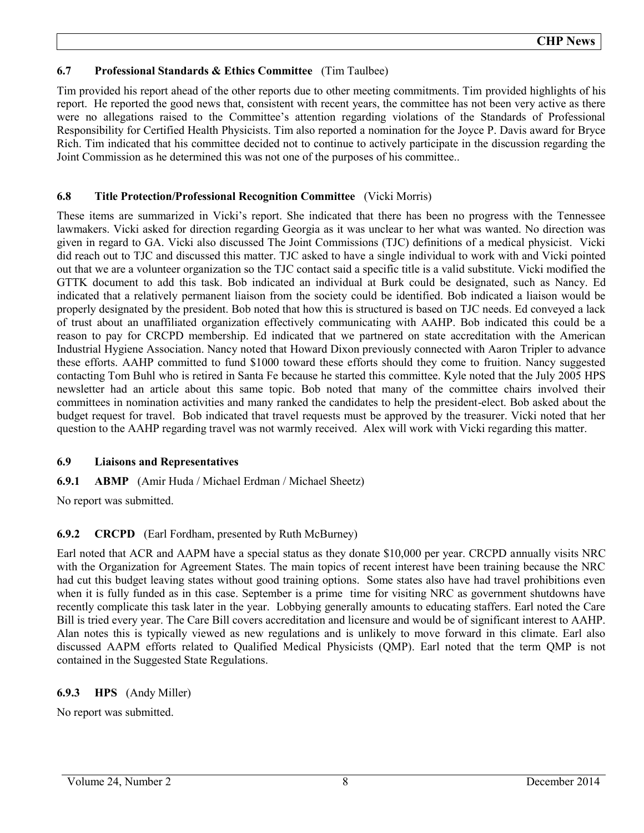# **6.7 Professional Standards & Ethics Committee** (Tim Taulbee)

Tim provided his report ahead of the other reports due to other meeting commitments. Tim provided highlights of his report. He reported the good news that, consistent with recent years, the committee has not been very active as there were no allegations raised to the Committee's attention regarding violations of the Standards of Professional Responsibility for Certified Health Physicists. Tim also reported a nomination for the Joyce P. Davis award for Bryce Rich. Tim indicated that his committee decided not to continue to actively participate in the discussion regarding the Joint Commission as he determined this was not one of the purposes of his committee..

# **6.8 Title Protection/Professional Recognition Committee** (Vicki Morris)

These items are summarized in Vicki's report. She indicated that there has been no progress with the Tennessee lawmakers. Vicki asked for direction regarding Georgia as it was unclear to her what was wanted. No direction was given in regard to GA. Vicki also discussed The Joint Commissions (TJC) definitions of a medical physicist. Vicki did reach out to TJC and discussed this matter. TJC asked to have a single individual to work with and Vicki pointed out that we are a volunteer organization so the TJC contact said a specific title is a valid substitute. Vicki modified the GTTK document to add this task. Bob indicated an individual at Burk could be designated, such as Nancy. Ed indicated that a relatively permanent liaison from the society could be identified. Bob indicated a liaison would be properly designated by the president. Bob noted that how this is structured is based on TJC needs. Ed conveyed a lack of trust about an unaffiliated organization effectively communicating with AAHP. Bob indicated this could be a reason to pay for CRCPD membership. Ed indicated that we partnered on state accreditation with the American Industrial Hygiene Association. Nancy noted that Howard Dixon previously connected with Aaron Tripler to advance these efforts. AAHP committed to fund \$1000 toward these efforts should they come to fruition. Nancy suggested contacting Tom Buhl who is retired in Santa Fe because he started this committee. Kyle noted that the July 2005 HPS newsletter had an article about this same topic. Bob noted that many of the committee chairs involved their committees in nomination activities and many ranked the candidates to help the president-elect. Bob asked about the budget request for travel. Bob indicated that travel requests must be approved by the treasurer. Vicki noted that her question to the AAHP regarding travel was not warmly received. Alex will work with Vicki regarding this matter.

# **6.9 Liaisons and Representatives**

**6.9.1 ABMP** (Amir Huda / Michael Erdman / Michael Sheetz)

No report was submitted.

# **6.9.2 CRCPD** (Earl Fordham, presented by Ruth McBurney)

Earl noted that ACR and AAPM have a special status as they donate \$10,000 per year. CRCPD annually visits NRC with the Organization for Agreement States. The main topics of recent interest have been training because the NRC had cut this budget leaving states without good training options. Some states also have had travel prohibitions even when it is fully funded as in this case. September is a prime time for visiting NRC as government shutdowns have recently complicate this task later in the year. Lobbying generally amounts to educating staffers. Earl noted the Care Bill is tried every year. The Care Bill covers accreditation and licensure and would be of significant interest to AAHP. Alan notes this is typically viewed as new regulations and is unlikely to move forward in this climate. Earl also discussed AAPM efforts related to Qualified Medical Physicists (QMP). Earl noted that the term QMP is not contained in the Suggested State Regulations.

# **6.9.3 HPS** (Andy Miller)

No report was submitted.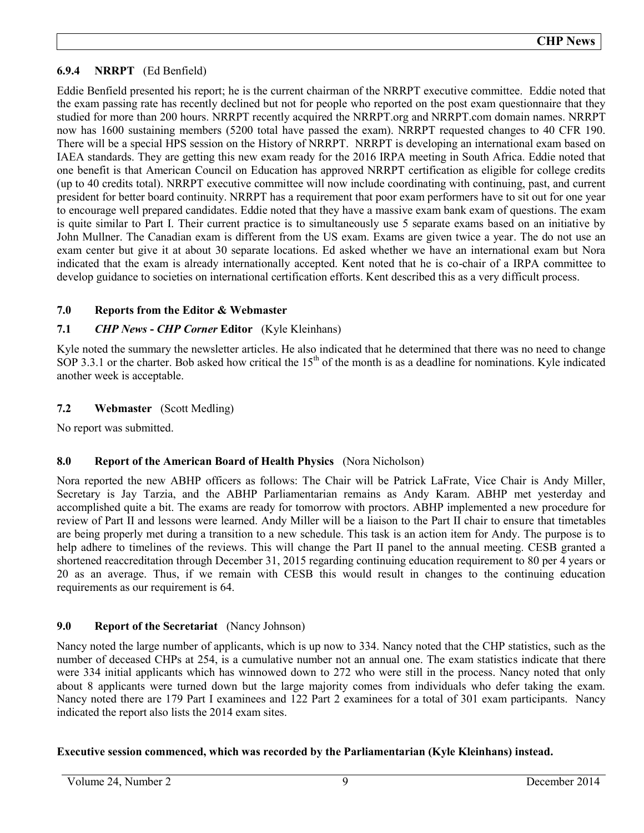# **6.9.4 NRRPT** (Ed Benfield)

Eddie Benfield presented his report; he is the current chairman of the NRRPT executive committee. Eddie noted that the exam passing rate has recently declined but not for people who reported on the post exam questionnaire that they studied for more than 200 hours. NRRPT recently acquired the NRRPT.org and NRRPT.com domain names. NRRPT now has 1600 sustaining members (5200 total have passed the exam). NRRPT requested changes to 40 CFR 190. There will be a special HPS session on the History of NRRPT. NRRPT is developing an international exam based on IAEA standards. They are getting this new exam ready for the 2016 IRPA meeting in South Africa. Eddie noted that one benefit is that American Council on Education has approved NRRPT certification as eligible for college credits (up to 40 credits total). NRRPT executive committee will now include coordinating with continuing, past, and current president for better board continuity. NRRPT has a requirement that poor exam performers have to sit out for one year to encourage well prepared candidates. Eddie noted that they have a massive exam bank exam of questions. The exam is quite similar to Part I. Their current practice is to simultaneously use 5 separate exams based on an initiative by John Mullner. The Canadian exam is different from the US exam. Exams are given twice a year. The do not use an exam center but give it at about 30 separate locations. Ed asked whether we have an international exam but Nora indicated that the exam is already internationally accepted. Kent noted that he is co-chair of a IRPA committee to develop guidance to societies on international certification efforts. Kent described this as a very difficult process.

# **7.0 Reports from the Editor & Webmaster**

# **7.1** *CHP News* **-** *CHP Corner* **Editor** (Kyle Kleinhans)

Kyle noted the summary the newsletter articles. He also indicated that he determined that there was no need to change SOP 3.3.1 or the charter. Bob asked how critical the  $15<sup>th</sup>$  of the month is as a deadline for nominations. Kyle indicated another week is acceptable.

# **7.2 Webmaster** (Scott Medling)

No report was submitted.

# **8.0 Report of the American Board of Health Physics** (Nora Nicholson)

Nora reported the new ABHP officers as follows: The Chair will be Patrick LaFrate, Vice Chair is Andy Miller, Secretary is Jay Tarzia, and the ABHP Parliamentarian remains as Andy Karam. ABHP met yesterday and accomplished quite a bit. The exams are ready for tomorrow with proctors. ABHP implemented a new procedure for review of Part II and lessons were learned. Andy Miller will be a liaison to the Part II chair to ensure that timetables are being properly met during a transition to a new schedule. This task is an action item for Andy. The purpose is to help adhere to timelines of the reviews. This will change the Part II panel to the annual meeting. CESB granted a shortened reaccreditation through December 31, 2015 regarding continuing education requirement to 80 per 4 years or 20 as an average. Thus, if we remain with CESB this would result in changes to the continuing education requirements as our requirement is 64.

# **9.0 Report of the Secretariat** (Nancy Johnson)

Nancy noted the large number of applicants, which is up now to 334. Nancy noted that the CHP statistics, such as the number of deceased CHPs at 254, is a cumulative number not an annual one. The exam statistics indicate that there were 334 initial applicants which has winnowed down to 272 who were still in the process. Nancy noted that only about 8 applicants were turned down but the large majority comes from individuals who defer taking the exam. Nancy noted there are 179 Part I examinees and 122 Part 2 examinees for a total of 301 exam participants. Nancy indicated the report also lists the 2014 exam sites.

# **Executive session commenced, which was recorded by the Parliamentarian (Kyle Kleinhans) instead.**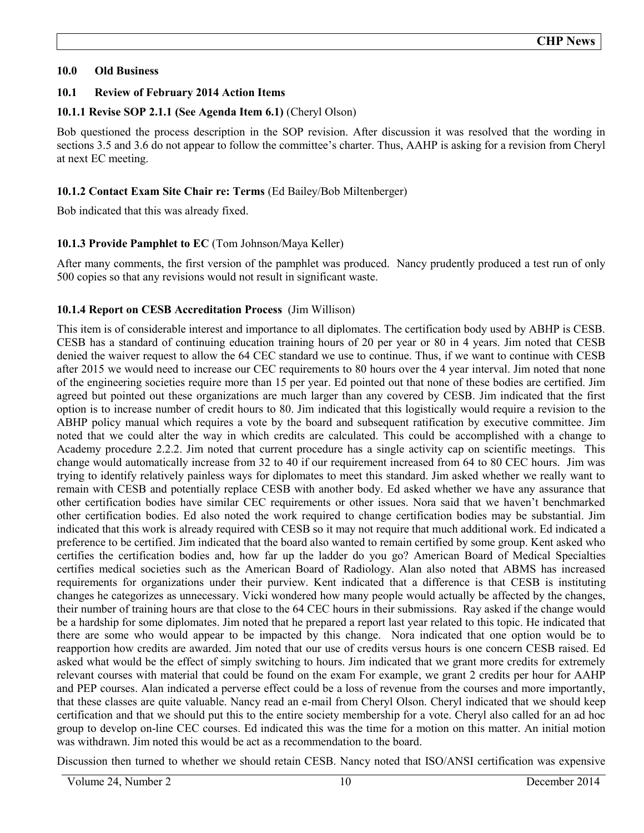# **10.0 Old Business**

# **10.1 Review of February 2014 Action Items**

# **10.1.1 Revise SOP 2.1.1 (See Agenda Item 6.1)** (Cheryl Olson)

Bob questioned the process description in the SOP revision. After discussion it was resolved that the wording in sections 3.5 and 3.6 do not appear to follow the committee's charter. Thus, AAHP is asking for a revision from Cheryl at next EC meeting.

# **10.1.2 Contact Exam Site Chair re: Terms** (Ed Bailey/Bob Miltenberger)

Bob indicated that this was already fixed.

# **10.1.3 Provide Pamphlet to EC** (Tom Johnson/Maya Keller)

After many comments, the first version of the pamphlet was produced. Nancy prudently produced a test run of only 500 copies so that any revisions would not result in significant waste.

# **10.1.4 Report on CESB Accreditation Process** (Jim Willison)

This item is of considerable interest and importance to all diplomates. The certification body used by ABHP is CESB. CESB has a standard of continuing education training hours of 20 per year or 80 in 4 years. Jim noted that CESB denied the waiver request to allow the 64 CEC standard we use to continue. Thus, if we want to continue with CESB after 2015 we would need to increase our CEC requirements to 80 hours over the 4 year interval. Jim noted that none of the engineering societies require more than 15 per year. Ed pointed out that none of these bodies are certified. Jim agreed but pointed out these organizations are much larger than any covered by CESB. Jim indicated that the first option is to increase number of credit hours to 80. Jim indicated that this logistically would require a revision to the ABHP policy manual which requires a vote by the board and subsequent ratification by executive committee. Jim noted that we could alter the way in which credits are calculated. This could be accomplished with a change to Academy procedure 2.2.2. Jim noted that current procedure has a single activity cap on scientific meetings. This change would automatically increase from 32 to 40 if our requirement increased from 64 to 80 CEC hours. Jim was trying to identify relatively painless ways for diplomates to meet this standard. Jim asked whether we really want to remain with CESB and potentially replace CESB with another body. Ed asked whether we have any assurance that other certification bodies have similar CEC requirements or other issues. Nora said that we haven't benchmarked other certification bodies. Ed also noted the work required to change certification bodies may be substantial. Jim indicated that this work is already required with CESB so it may not require that much additional work. Ed indicated a preference to be certified. Jim indicated that the board also wanted to remain certified by some group. Kent asked who certifies the certification bodies and, how far up the ladder do you go? American Board of Medical Specialties certifies medical societies such as the American Board of Radiology. Alan also noted that ABMS has increased requirements for organizations under their purview. Kent indicated that a difference is that CESB is instituting changes he categorizes as unnecessary. Vicki wondered how many people would actually be affected by the changes, their number of training hours are that close to the 64 CEC hours in their submissions. Ray asked if the change would be a hardship for some diplomates. Jim noted that he prepared a report last year related to this topic. He indicated that there are some who would appear to be impacted by this change. Nora indicated that one option would be to reapportion how credits are awarded. Jim noted that our use of credits versus hours is one concern CESB raised. Ed asked what would be the effect of simply switching to hours. Jim indicated that we grant more credits for extremely relevant courses with material that could be found on the exam For example, we grant 2 credits per hour for AAHP and PEP courses. Alan indicated a perverse effect could be a loss of revenue from the courses and more importantly, that these classes are quite valuable. Nancy read an e-mail from Cheryl Olson. Cheryl indicated that we should keep certification and that we should put this to the entire society membership for a vote. Cheryl also called for an ad hoc group to develop on-line CEC courses. Ed indicated this was the time for a motion on this matter. An initial motion was withdrawn. Jim noted this would be act as a recommendation to the board.

Discussion then turned to whether we should retain CESB. Nancy noted that ISO/ANSI certification was expensive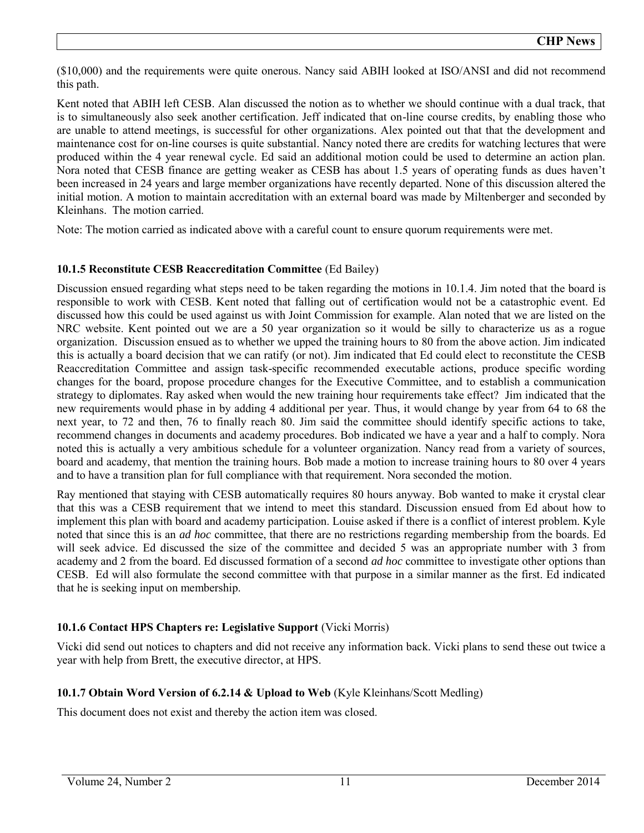(\$10,000) and the requirements were quite onerous. Nancy said ABIH looked at ISO/ANSI and did not recommend this path.

Kent noted that ABIH left CESB. Alan discussed the notion as to whether we should continue with a dual track, that is to simultaneously also seek another certification. Jeff indicated that on-line course credits, by enabling those who are unable to attend meetings, is successful for other organizations. Alex pointed out that that the development and maintenance cost for on-line courses is quite substantial. Nancy noted there are credits for watching lectures that were produced within the 4 year renewal cycle. Ed said an additional motion could be used to determine an action plan. Nora noted that CESB finance are getting weaker as CESB has about 1.5 years of operating funds as dues haven't been increased in 24 years and large member organizations have recently departed. None of this discussion altered the initial motion. A motion to maintain accreditation with an external board was made by Miltenberger and seconded by Kleinhans. The motion carried.

Note: The motion carried as indicated above with a careful count to ensure quorum requirements were met.

# **10.1.5 Reconstitute CESB Reaccreditation Committee** (Ed Bailey)

Discussion ensued regarding what steps need to be taken regarding the motions in 10.1.4. Jim noted that the board is responsible to work with CESB. Kent noted that falling out of certification would not be a catastrophic event. Ed discussed how this could be used against us with Joint Commission for example. Alan noted that we are listed on the NRC website. Kent pointed out we are a 50 year organization so it would be silly to characterize us as a rogue organization. Discussion ensued as to whether we upped the training hours to 80 from the above action. Jim indicated this is actually a board decision that we can ratify (or not). Jim indicated that Ed could elect to reconstitute the CESB Reaccreditation Committee and assign task-specific recommended executable actions, produce specific wording changes for the board, propose procedure changes for the Executive Committee, and to establish a communication strategy to diplomates. Ray asked when would the new training hour requirements take effect? Jim indicated that the new requirements would phase in by adding 4 additional per year. Thus, it would change by year from 64 to 68 the next year, to 72 and then, 76 to finally reach 80. Jim said the committee should identify specific actions to take, recommend changes in documents and academy procedures. Bob indicated we have a year and a half to comply. Nora noted this is actually a very ambitious schedule for a volunteer organization. Nancy read from a variety of sources, board and academy, that mention the training hours. Bob made a motion to increase training hours to 80 over 4 years and to have a transition plan for full compliance with that requirement. Nora seconded the motion.

Ray mentioned that staying with CESB automatically requires 80 hours anyway. Bob wanted to make it crystal clear that this was a CESB requirement that we intend to meet this standard. Discussion ensued from Ed about how to implement this plan with board and academy participation. Louise asked if there is a conflict of interest problem. Kyle noted that since this is an *ad hoc* committee, that there are no restrictions regarding membership from the boards. Ed will seek advice. Ed discussed the size of the committee and decided 5 was an appropriate number with 3 from academy and 2 from the board. Ed discussed formation of a second *ad hoc* committee to investigate other options than CESB. Ed will also formulate the second committee with that purpose in a similar manner as the first. Ed indicated that he is seeking input on membership.

# **10.1.6 Contact HPS Chapters re: Legislative Support** (Vicki Morris)

Vicki did send out notices to chapters and did not receive any information back. Vicki plans to send these out twice a year with help from Brett, the executive director, at HPS.

# **10.1.7 Obtain Word Version of 6.2.14 & Upload to Web** (Kyle Kleinhans/Scott Medling)

This document does not exist and thereby the action item was closed.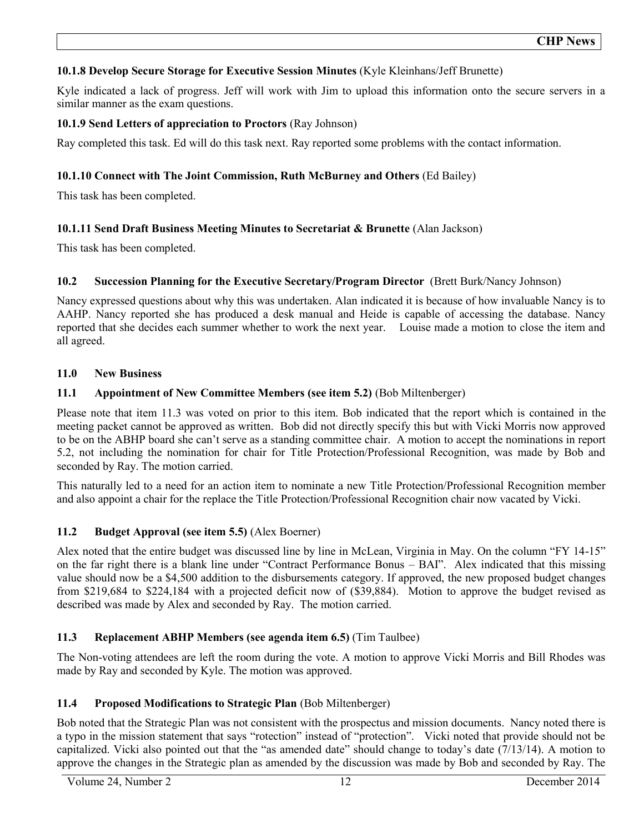# **10.1.8 Develop Secure Storage for Executive Session Minutes** (Kyle Kleinhans/Jeff Brunette)

Kyle indicated a lack of progress. Jeff will work with Jim to upload this information onto the secure servers in a similar manner as the exam questions.

# **10.1.9 Send Letters of appreciation to Proctors** (Ray Johnson)

Ray completed this task. Ed will do this task next. Ray reported some problems with the contact information.

# **10.1.10 Connect with The Joint Commission, Ruth McBurney and Others** (Ed Bailey)

This task has been completed.

# **10.1.11 Send Draft Business Meeting Minutes to Secretariat & Brunette** (Alan Jackson)

This task has been completed.

# **10.2 Succession Planning for the Executive Secretary/Program Director** (Brett Burk/Nancy Johnson)

Nancy expressed questions about why this was undertaken. Alan indicated it is because of how invaluable Nancy is to AAHP. Nancy reported she has produced a desk manual and Heide is capable of accessing the database. Nancy reported that she decides each summer whether to work the next year. Louise made a motion to close the item and all agreed.

# **11.0 New Business**

# **11.1 Appointment of New Committee Members (see item 5.2)** (Bob Miltenberger)

Please note that item 11.3 was voted on prior to this item. Bob indicated that the report which is contained in the meeting packet cannot be approved as written. Bob did not directly specify this but with Vicki Morris now approved to be on the ABHP board she can't serve as a standing committee chair. A motion to accept the nominations in report 5.2, not including the nomination for chair for Title Protection/Professional Recognition, was made by Bob and seconded by Ray. The motion carried.

This naturally led to a need for an action item to nominate a new Title Protection/Professional Recognition member and also appoint a chair for the replace the Title Protection/Professional Recognition chair now vacated by Vicki.

# **11.2 Budget Approval (see item 5.5)** (Alex Boerner)

Alex noted that the entire budget was discussed line by line in McLean, Virginia in May. On the column "FY 14-15" on the far right there is a blank line under "Contract Performance Bonus – BAI". Alex indicated that this missing value should now be a \$4,500 addition to the disbursements category. If approved, the new proposed budget changes from \$219,684 to \$224,184 with a projected deficit now of (\$39,884). Motion to approve the budget revised as described was made by Alex and seconded by Ray. The motion carried.

# **11.3 Replacement ABHP Members (see agenda item 6.5)** (Tim Taulbee)

The Non-voting attendees are left the room during the vote. A motion to approve Vicki Morris and Bill Rhodes was made by Ray and seconded by Kyle. The motion was approved.

# **11.4 Proposed Modifications to Strategic Plan** (Bob Miltenberger)

Bob noted that the Strategic Plan was not consistent with the prospectus and mission documents. Nancy noted there is a typo in the mission statement that says "rotection" instead of "protection". Vicki noted that provide should not be capitalized. Vicki also pointed out that the "as amended date" should change to today's date  $(7/13/14)$ . A motion to approve the changes in the Strategic plan as amended by the discussion was made by Bob and seconded by Ray. The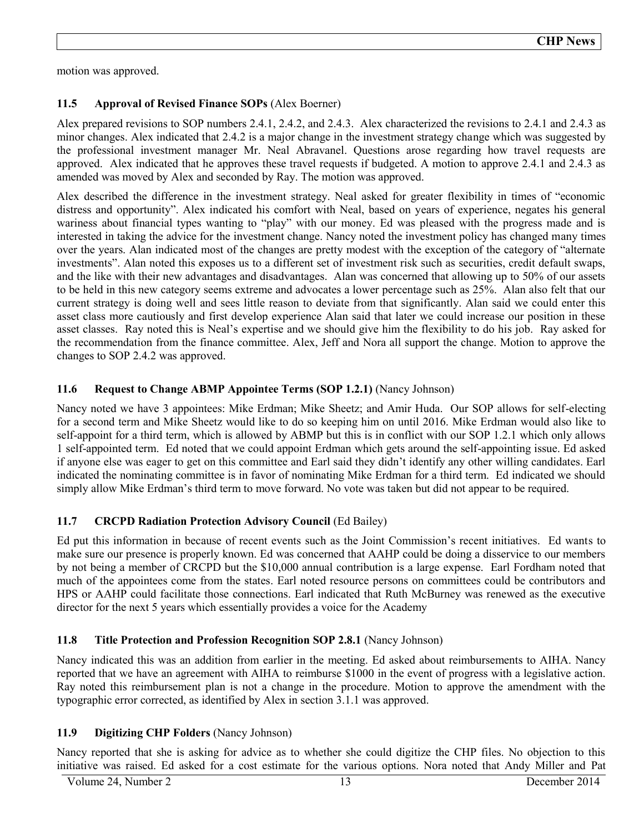motion was approved.

# **11.5 Approval of Revised Finance SOPs** (Alex Boerner)

Alex prepared revisions to SOP numbers 2.4.1, 2.4.2, and 2.4.3. Alex characterized the revisions to 2.4.1 and 2.4.3 as minor changes. Alex indicated that 2.4.2 is a major change in the investment strategy change which was suggested by the professional investment manager Mr. Neal Abravanel. Questions arose regarding how travel requests are approved. Alex indicated that he approves these travel requests if budgeted. A motion to approve 2.4.1 and 2.4.3 as amended was moved by Alex and seconded by Ray. The motion was approved.

Alex described the difference in the investment strategy. Neal asked for greater flexibility in times of "economic distress and opportunity". Alex indicated his comfort with Neal, based on years of experience, negates his general wariness about financial types wanting to "play" with our money. Ed was pleased with the progress made and is interested in taking the advice for the investment change. Nancy noted the investment policy has changed many times over the years. Alan indicated most of the changes are pretty modest with the exception of the category of "alternate investments". Alan noted this exposes us to a different set of investment risk such as securities, credit default swaps, and the like with their new advantages and disadvantages. Alan was concerned that allowing up to 50% of our assets to be held in this new category seems extreme and advocates a lower percentage such as 25%. Alan also felt that our current strategy is doing well and sees little reason to deviate from that significantly. Alan said we could enter this asset class more cautiously and first develop experience Alan said that later we could increase our position in these asset classes. Ray noted this is Neal's expertise and we should give him the flexibility to do his job. Ray asked for the recommendation from the finance committee. Alex, Jeff and Nora all support the change. Motion to approve the changes to SOP 2.4.2 was approved.

# **11.6 Request to Change ABMP Appointee Terms (SOP 1.2.1)** (Nancy Johnson)

Nancy noted we have 3 appointees: Mike Erdman; Mike Sheetz; and Amir Huda. Our SOP allows for self-electing for a second term and Mike Sheetz would like to do so keeping him on until 2016. Mike Erdman would also like to self-appoint for a third term, which is allowed by ABMP but this is in conflict with our SOP 1.2.1 which only allows 1 self-appointed term. Ed noted that we could appoint Erdman which gets around the self-appointing issue. Ed asked if anyone else was eager to get on this committee and Earl said they didn't identify any other willing candidates. Earl indicated the nominating committee is in favor of nominating Mike Erdman for a third term. Ed indicated we should simply allow Mike Erdman's third term to move forward. No vote was taken but did not appear to be required.

# **11.7 CRCPD Radiation Protection Advisory Council** (Ed Bailey)

Ed put this information in because of recent events such as the Joint Commission's recent initiatives. Ed wants to make sure our presence is properly known. Ed was concerned that AAHP could be doing a disservice to our members by not being a member of CRCPD but the \$10,000 annual contribution is a large expense. Earl Fordham noted that much of the appointees come from the states. Earl noted resource persons on committees could be contributors and HPS or AAHP could facilitate those connections. Earl indicated that Ruth McBurney was renewed as the executive director for the next 5 years which essentially provides a voice for the Academy

# **11.8 Title Protection and Profession Recognition SOP 2.8.1** (Nancy Johnson)

Nancy indicated this was an addition from earlier in the meeting. Ed asked about reimbursements to AIHA. Nancy reported that we have an agreement with AIHA to reimburse \$1000 in the event of progress with a legislative action. Ray noted this reimbursement plan is not a change in the procedure. Motion to approve the amendment with the typographic error corrected, as identified by Alex in section 3.1.1 was approved.

# **11.9 Digitizing CHP Folders** (Nancy Johnson)

Nancy reported that she is asking for advice as to whether she could digitize the CHP files. No objection to this initiative was raised. Ed asked for a cost estimate for the various options. Nora noted that Andy Miller and Pat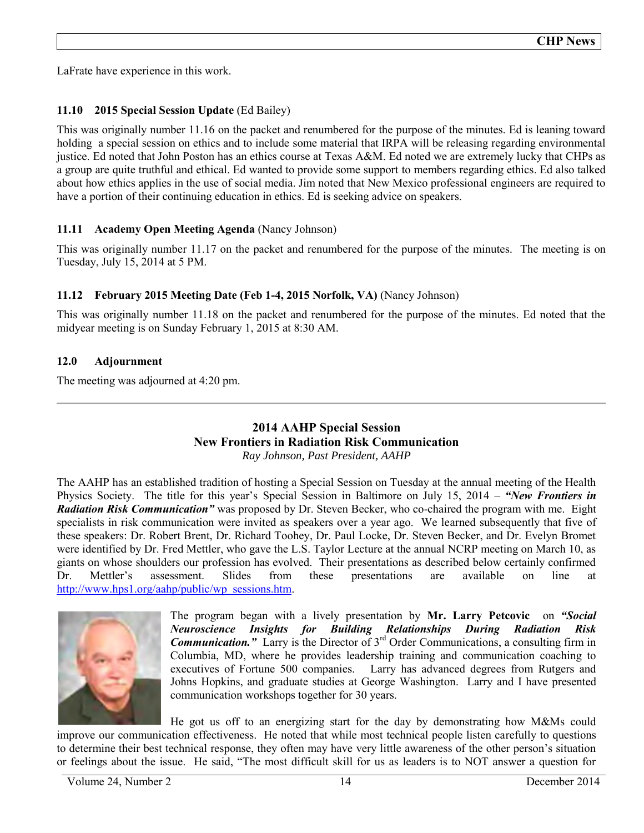LaFrate have experience in this work.

# **11.10 2015 Special Session Update** (Ed Bailey)

This was originally number 11.16 on the packet and renumbered for the purpose of the minutes. Ed is leaning toward holding a special session on ethics and to include some material that IRPA will be releasing regarding environmental justice. Ed noted that John Poston has an ethics course at Texas A&M. Ed noted we are extremely lucky that CHPs as a group are quite truthful and ethical. Ed wanted to provide some support to members regarding ethics. Ed also talked about how ethics applies in the use of social media. Jim noted that New Mexico professional engineers are required to have a portion of their continuing education in ethics. Ed is seeking advice on speakers.

# **11.11 Academy Open Meeting Agenda** (Nancy Johnson)

This was originally number 11.17 on the packet and renumbered for the purpose of the minutes. The meeting is on Tuesday, July 15, 2014 at 5 PM.

# **11.12 February 2015 Meeting Date (Feb 1-4, 2015 Norfolk, VA)** (Nancy Johnson)

This was originally number 11.18 on the packet and renumbered for the purpose of the minutes. Ed noted that the midyear meeting is on Sunday February 1, 2015 at 8:30 AM.

# **12.0 Adjournment**

The meeting was adjourned at 4:20 pm.

# **2014 AAHP Special Session New Frontiers in Radiation Risk Communication**  *Ray Johnson, Past President, AAHP*

The AAHP has an established tradition of hosting a Special Session on Tuesday at the annual meeting of the Health Physics Society. The title for this year's Special Session in Baltimore on July 15, 2014 – *"New Frontiers in Radiation Risk Communication"* was proposed by Dr. Steven Becker, who co-chaired the program with me. Eight specialists in risk communication were invited as speakers over a year ago. We learned subsequently that five of these speakers: Dr. Robert Brent, Dr. Richard Toohey, Dr. Paul Locke, Dr. Steven Becker, and Dr. Evelyn Bromet were identified by Dr. Fred Mettler, who gave the L.S. Taylor Lecture at the annual NCRP meeting on March 10, as giants on whose shoulders our profession has evolved. Their presentations as described below certainly confirmed Dr. Mettler's assessment. Slides from these presentations are available on line at [http://www.hps1.org/aahp/public/wp sessions.htm.](http://www.hps1.org/aahp/public/wp_sessions.htm)



The program began with a lively presentation by **Mr. Larry Petcovic** on *"Social Neuroscience Insights for Building Relationships During Radiation Risk Communication. Carry* is the Director of 3<sup>rd</sup> Order Communications, a consulting firm in Columbia, MD, where he provides leadership training and communication coaching to executives of Fortune 500 companies. Larry has advanced degrees from Rutgers and Johns Hopkins, and graduate studies at George Washington. Larry and I have presented communication workshops together for 30 years.

He got us off to an energizing start for the day by demonstrating how M&Ms could improve our communication effectiveness. He noted that while most technical people listen carefully to questions to determine their best technical response, they often may have very little awareness of the other person's situation or feelings about the issue. He said, "The most difficult skill for us as leaders is to NOT answer a question for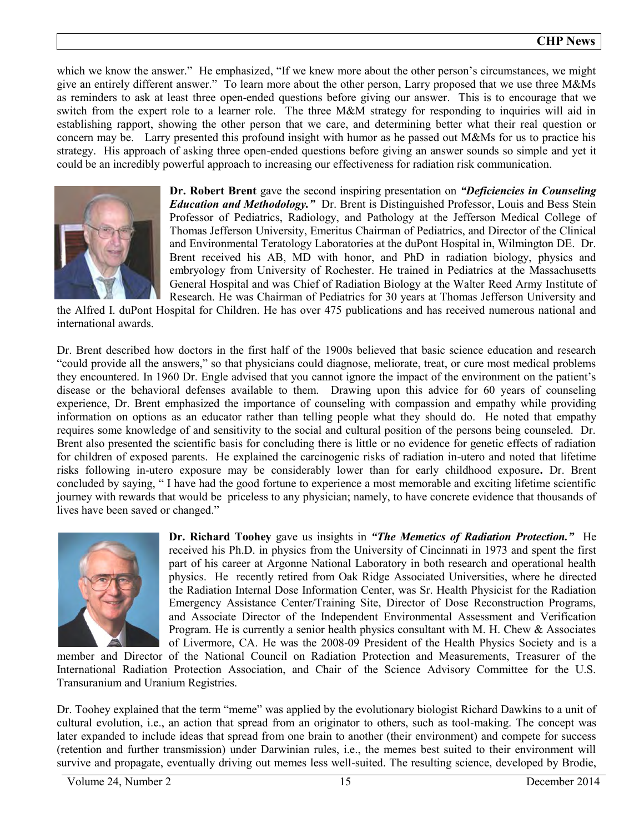which we know the answer." He emphasized, "If we knew more about the other person's circumstances, we might give an entirely different answer." To learn more about the other person, Larry proposed that we use three M&Ms as reminders to ask at least three open-ended questions before giving our answer. This is to encourage that we switch from the expert role to a learner role. The three M&M strategy for responding to inquiries will aid in establishing rapport, showing the other person that we care, and determining better what their real question or concern may be. Larry presented this profound insight with humor as he passed out M&Ms for us to practice his strategy. His approach of asking three open-ended questions before giving an answer sounds so simple and yet it [could be an incredibly powerful approach to increasing our effectiveness for radiation risk communication.](https://www.flickr.com/photos/28691843@N02/5515789764/in/set-72157626239372028) 



**Dr. Robert Brent** gave the second inspiring presentation on *"Deficiencies in Counseling Education and Methodology."* Dr. Brent is Distinguished Professor, Louis and Bess Stein Professor of Pediatrics, Radiology, and Pathology at the Jefferson Medical College of Thomas Jefferson University, Emeritus Chairman of Pediatrics, and Director of the Clinical and Environmental Teratology Laboratories at the duPont Hospital in, Wilmington DE. Dr. Brent received his AB, MD with honor, and PhD in radiation biology, physics and embryology from University of Rochester. He trained in Pediatrics at the Massachusetts General Hospital and was Chief of Radiation Biology at the Walter Reed Army Institute of Research. He was Chairman of Pediatrics for 30 years at Thomas Jefferson University and

the Alfred I. duPont Hospital for Children. He has over 475 publications and has received numerous national and international awards.

Dr. Brent described how doctors in the first half of the 1900s believed that basic science education and research "could provide all the answers," so that physicians could diagnose, meliorate, treat, or cure most medical problems they encountered. In 1960 Dr. Engle advised that you cannot ignore the impact of the environment on the patient's disease or the behavioral defenses available to them. Drawing upon this advice for 60 years of counseling experience, Dr. Brent emphasized the importance of counseling with compassion and empathy while providing information on options as an educator rather than telling people what they should do. He noted that empathy requires some knowledge of and sensitivity to the social and cultural position of the persons being counseled. Dr. Brent also presented the scientific basis for concluding there is little or no evidence for genetic effects of radiation for children of exposed parents. He explained the carcinogenic risks of radiation in-utero and noted that lifetime risks following in-utero exposure may be considerably lower than for early childhood exposure**.** Dr. Brent concluded by saying, " I have had the good fortune to experience a most memorable and exciting lifetime scientific journey with rewards that would be priceless to any physician; namely, to have concrete evidence that thousands of lives have been saved or changed."



**Dr. Richard Toohey** gave us insights in *"The Memetics of Radiation Protection."* He received his Ph.D. in physics from the University of Cincinnati in 1973 and spent the first part of his career at Argonne National Laboratory in both research and operational health physics. He recently retired from Oak Ridge Associated Universities, where he directed the Radiation Internal Dose Information Center, was Sr. Health Physicist for the Radiation Emergency Assistance Center/Training Site, Director of Dose Reconstruction Programs, and Associate Director of the Independent Environmental Assessment and Verification Program. He is currently a senior health physics consultant with M. H. Chew & Associates of Livermore, CA. He was the 2008-09 President of the Health Physics Society and is a

member and Director of the National Council on Radiation Protection and Measurements, Treasurer of the International Radiation Protection Association, and Chair of the Science Advisory Committee for the U.S. Transuranium and Uranium Registries.

Dr. Toohey explained that the term "meme" was applied by the evolutionary biologist Richard Dawkins to a unit of cultural evolution, i.e., an action that spread from an originator to others, such as tool-making. The concept was later expanded to include ideas that spread from one brain to another (their environment) and compete for success (retention and further transmission) under Darwinian rules, i.e., the memes best suited to their environment will survive and propagate, eventually driving out memes less well-suited. The resulting science, developed by Brodie,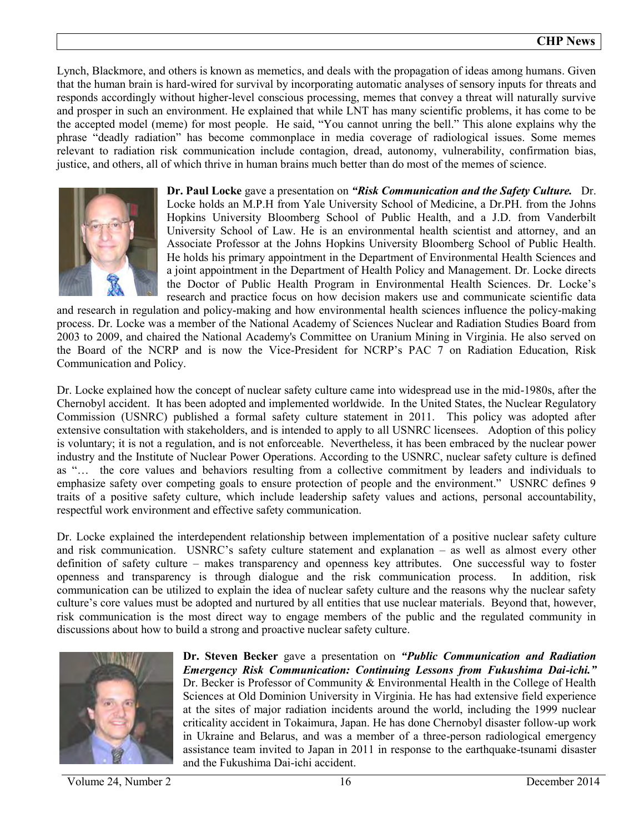Lynch, Blackmore, and others is known as memetics, and deals with the propagation of ideas among humans. Given that the human brain is hard-wired for survival by incorporating automatic analyses of sensory inputs for threats and responds accordingly without higher-level conscious processing, memes that convey a threat will naturally survive and prosper in such an environment. He explained that while LNT has many scientific problems, it has come to be the accepted model (meme) for most people. He said, "You cannot unring the bell." This alone explains why the phrase "deadly radiation" has become commonplace in media coverage of radiological issues. Some memes relevant to radiation risk communication include contagion, dread, autonomy, vulnerability, confirmation bias, justice, and others, all of which thrive in human brains much better than do most of the memes of science.



**Dr. Paul Locke** gave a presentation on *"Risk Communication and the Safety Culture.* Dr. Locke holds an M.P.H from Yale University School of Medicine, a Dr.PH. from the Johns Hopkins University Bloomberg School of Public Health, and a J.D. from Vanderbilt University School of Law. He is an environmental health scientist and attorney, and an Associate Professor at the Johns Hopkins University Bloomberg School of Public Health. He holds his primary appointment in the Department of Environmental Health Sciences and a joint appointment in the Department of Health Policy and Management. Dr. Locke directs the Doctor of Public Health Program in Environmental Health Sciences. Dr. Locke's research and practice focus on how decision makers use and communicate scientific data

and research in regulation and policy-making and how environmental health sciences influence the policy-making process. Dr. Locke was a member of the National Academy of Sciences Nuclear and Radiation Studies Board from 2003 to 2009, and chaired the National Academy's Committee on Uranium Mining in Virginia. He also served on the Board of the NCRP and is now the Vice-President for NCRP's PAC 7 on Radiation Education, Risk Communication and Policy.

Dr. Locke explained how the concept of nuclear safety culture came into widespread use in the mid-1980s, after the Chernobyl accident. It has been adopted and implemented worldwide. In the United States, the Nuclear Regulatory Commission (USNRC) published a formal safety culture statement in 2011. This policy was adopted after extensive consultation with stakeholders, and is intended to apply to all USNRC licensees. Adoption of this policy is voluntary; it is not a regulation, and is not enforceable. Nevertheless, it has been embraced by the nuclear power industry and the Institute of Nuclear Power Operations. According to the USNRC, nuclear safety culture is defined as "… the core values and behaviors resulting from a collective commitment by leaders and individuals to emphasize safety over competing goals to ensure protection of people and the environment." USNRC defines 9 traits of a positive safety culture, which include leadership safety values and actions, personal accountability, respectful work environment and effective safety communication.

Dr. Locke explained the interdependent relationship between implementation of a positive nuclear safety culture and risk communication. USNRC's safety culture statement and explanation – as well as almost every other definition of safety culture – makes transparency and openness key attributes. One successful way to foster openness and transparency is through dialogue and the risk communication process. In addition, risk communication can be utilized to explain the idea of nuclear safety culture and the reasons why the nuclear safety culture's core values must be adopted and nurtured by all entities that use nuclear materials. Beyond that, however, risk communication is the most direct way to engage members of the public and the regulated community in discussions about how to build a strong and proactive nuclear safety culture.



**Dr. Steven Becker** gave a presentation on *"Public Communication and Radiation Emergency Risk Communication: Continuing Lessons from Fukushima Dai-ichi."*  Dr. Becker is Professor of Community & Environmental Health in the College of Health Sciences at Old Dominion University in Virginia. He has had extensive field experience at the sites of major radiation incidents around the world, including the 1999 nuclear criticality accident in Tokaimura, Japan. He has done Chernobyl disaster follow-up work in Ukraine and Belarus, and was a member of a three-person radiological emergency assistance team invited to Japan in 2011 in response to the earthquake-tsunami disaster and the Fukushima Dai-ichi accident.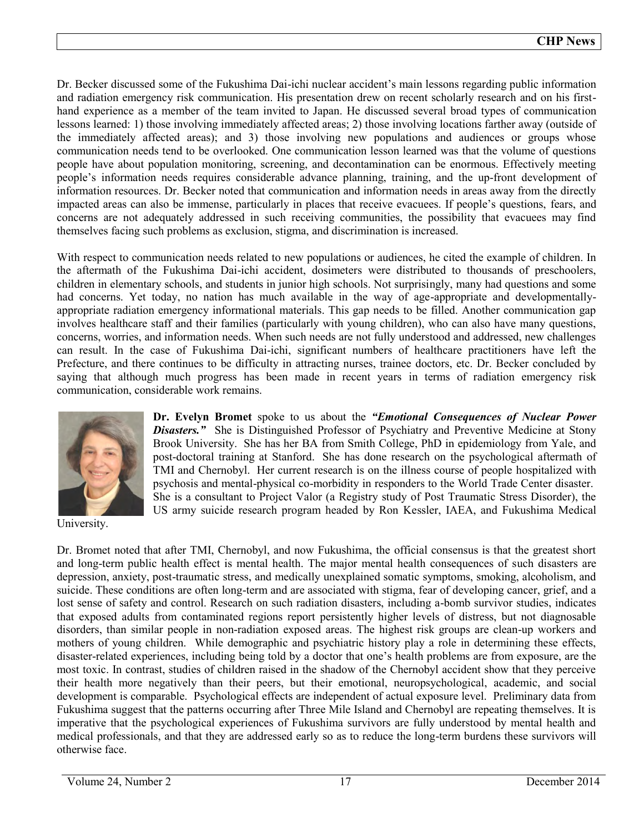Dr. Becker discussed some of the Fukushima Dai-ichi nuclear accident's main lessons regarding public information and radiation emergency risk communication. His presentation drew on recent scholarly research and on his firsthand experience as a member of the team invited to Japan. He discussed several broad types of communication lessons learned: 1) those involving immediately affected areas; 2) those involving locations farther away (outside of the immediately affected areas); and 3) those involving new populations and audiences or groups whose communication needs tend to be overlooked. One communication lesson learned was that the volume of questions people have about population monitoring, screening, and decontamination can be enormous. Effectively meeting people's information needs requires considerable advance planning, training, and the up-front development of information resources. Dr. Becker noted that communication and information needs in areas away from the directly impacted areas can also be immense, particularly in places that receive evacuees. If people's questions, fears, and concerns are not adequately addressed in such receiving communities, the possibility that evacuees may find themselves facing such problems as exclusion, stigma, and discrimination is increased.

With respect to communication needs related to new populations or audiences, he cited the example of children. In the aftermath of the Fukushima Dai-ichi accident, dosimeters were distributed to thousands of preschoolers, children in elementary schools, and students in junior high schools. Not surprisingly, many had questions and some had concerns. Yet today, no nation has much available in the way of age-appropriate and developmentallyappropriate radiation emergency informational materials. This gap needs to be filled. Another communication gap involves healthcare staff and their families (particularly with young children), who can also have many questions, concerns, worries, and information needs. When such needs are not fully understood and addressed, new challenges can result. In the case of Fukushima Dai-ichi, significant numbers of healthcare practitioners have left the Prefecture, and there continues to be difficulty in attracting nurses, trainee doctors, etc. Dr. Becker concluded by saying that although much progress has been made in recent years in terms of radiation emergency risk communication, considerable work remains.



University.

**Dr. Evelyn Bromet** spoke to us about the *"Emotional Consequences of Nuclear Power*  **Disasters."** She is Distinguished Professor of Psychiatry and Preventive Medicine at Stony Brook University. She has her BA from Smith College, PhD in epidemiology from Yale, and post-doctoral training at Stanford. She has done research on the psychological aftermath of TMI and Chernobyl. Her current research is on the illness course of people hospitalized with psychosis and mental-physical co-morbidity in responders to the World Trade Center disaster. She is a consultant to Project Valor (a Registry study of Post Traumatic Stress Disorder), the US army suicide research program headed by Ron Kessler, IAEA, and Fukushima Medical

Dr. Bromet noted that after TMI, Chernobyl, and now Fukushima, the official consensus is that the greatest short and long-term public health effect is mental health. The major mental health consequences of such disasters are depression, anxiety, post-traumatic stress, and medically unexplained somatic symptoms, smoking, alcoholism, and suicide. These conditions are often long-term and are associated with stigma, fear of developing cancer, grief, and a lost sense of safety and control. Research on such radiation disasters, including a-bomb survivor studies, indicates that exposed adults from contaminated regions report persistently higher levels of distress, but not diagnosable disorders, than similar people in non-radiation exposed areas. The highest risk groups are clean-up workers and mothers of young children. While demographic and psychiatric history play a role in determining these effects, disaster-related experiences, including being told by a doctor that one's health problems are from exposure, are the most toxic. In contrast, studies of children raised in the shadow of the Chernobyl accident show that they perceive their health more negatively than their peers, but their emotional, neuropsychological, academic, and social development is comparable. Psychological effects are independent of actual exposure level. Preliminary data from Fukushima suggest that the patterns occurring after Three Mile Island and Chernobyl are repeating themselves. It is imperative that the psychological experiences of Fukushima survivors are fully understood by mental health and medical professionals, and that they are addressed early so as to reduce the long-term burdens these survivors will otherwise face.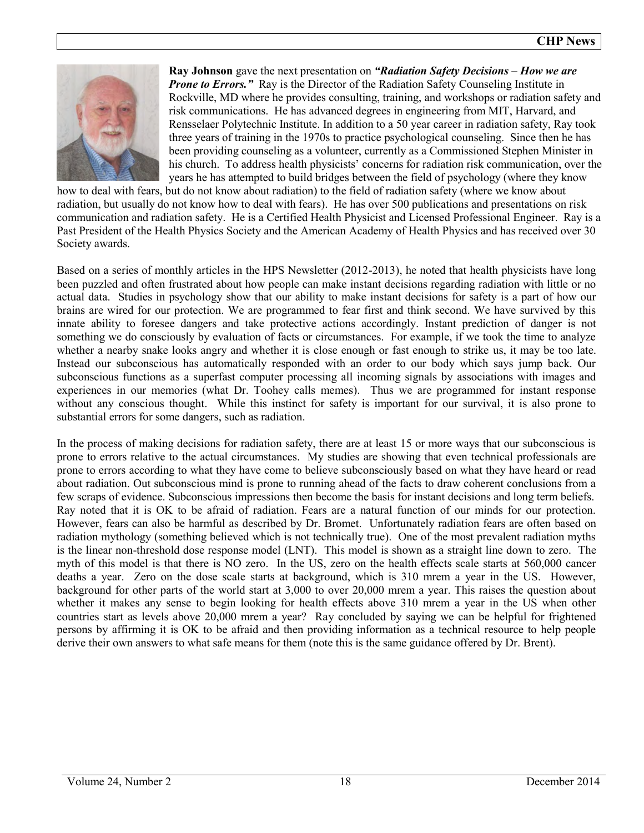

**Ray Johnson** gave the next presentation on *"Radiation Safety Decisions – How we are Prone to Errors.*" Ray is the Director of the Radiation Safety Counseling Institute in Rockville, MD where he provides consulting, training, and workshops or radiation safety and risk communications. He has advanced degrees in engineering from MIT, Harvard, and Rensselaer Polytechnic Institute. In addition to a 50 year career in radiation safety, Ray took three years of training in the 1970s to practice psychological counseling. Since then he has been providing counseling as a volunteer, currently as a Commissioned Stephen Minister in his church. To address health physicists' concerns for radiation risk communication, over the years he has attempted to build bridges between the field of psychology (where they know

how to deal with fears, but do not know about radiation) to the field of radiation safety (where we know about radiation, but usually do not know how to deal with fears). He has over 500 publications and presentations on risk communication and radiation safety. He is a Certified Health Physicist and Licensed Professional Engineer. Ray is a Past President of the Health Physics Society and the American Academy of Health Physics and has received over 30 Society awards.

Based on a series of monthly articles in the HPS Newsletter (2012-2013), he noted that health physicists have long been puzzled and often frustrated about how people can make instant decisions regarding radiation with little or no actual data. Studies in psychology show that our ability to make instant decisions for safety is a part of how our brains are wired for our protection. We are programmed to fear first and think second. We have survived by this innate ability to foresee dangers and take protective actions accordingly. Instant prediction of danger is not something we do consciously by evaluation of facts or circumstances. For example, if we took the time to analyze whether a nearby snake looks angry and whether it is close enough or fast enough to strike us, it may be too late. Instead our subconscious has automatically responded with an order to our body which says jump back. Our subconscious functions as a superfast computer processing all incoming signals by associations with images and experiences in our memories (what Dr. Toohey calls memes). Thus we are programmed for instant response without any conscious thought. While this instinct for safety is important for our survival, it is also prone to substantial errors for some dangers, such as radiation.

In the process of making decisions for radiation safety, there are at least 15 or more ways that our subconscious is prone to errors relative to the actual circumstances. My studies are showing that even technical professionals are prone to errors according to what they have come to believe subconsciously based on what they have heard or read about radiation. Out subconscious mind is prone to running ahead of the facts to draw coherent conclusions from a few scraps of evidence. Subconscious impressions then become the basis for instant decisions and long term beliefs. Ray noted that it is OK to be afraid of radiation. Fears are a natural function of our minds for our protection. However, fears can also be harmful as described by Dr. Bromet. Unfortunately radiation fears are often based on radiation mythology (something believed which is not technically true). One of the most prevalent radiation myths is the linear non-threshold dose response model (LNT). This model is shown as a straight line down to zero. The myth of this model is that there is NO zero. In the US, zero on the health effects scale starts at 560,000 cancer deaths a year. Zero on the dose scale starts at background, which is 310 mrem a year in the US. However, background for other parts of the world start at 3,000 to over 20,000 mrem a year. This raises the question about whether it makes any sense to begin looking for health effects above 310 mrem a year in the US when other countries start as levels above 20,000 mrem a year? Ray concluded by saying we can be helpful for frightened persons by affirming it is OK to be afraid and then providing information as a technical resource to help people derive their own answers to what safe means for them (note this is the same guidance offered by Dr. Brent).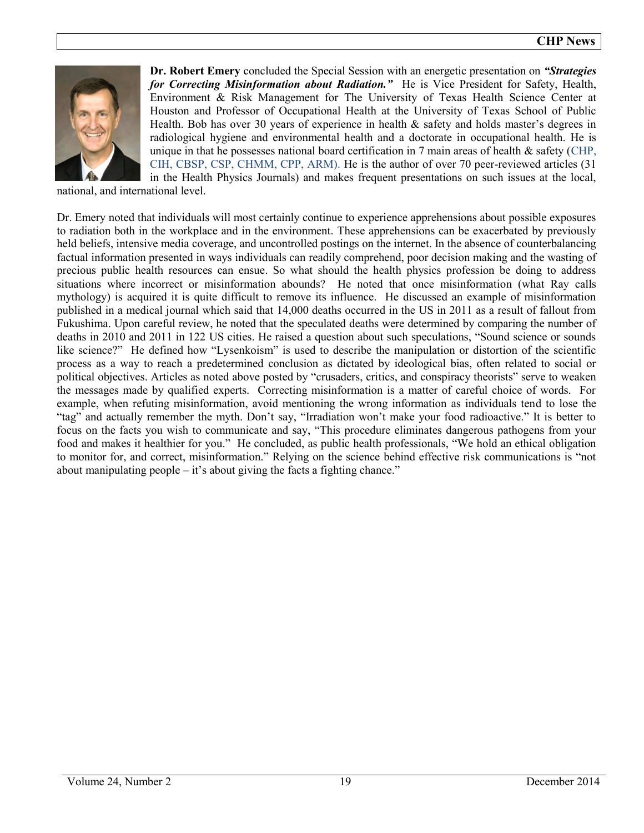

**Dr. Robert Emery** concluded the Special Session with an energetic presentation on *"Strategies for Correcting Misinformation about Radiation."* He is Vice President for Safety, Health, Environment & Risk Management for The University of Texas Health Science Center at Houston and Professor of Occupational Health at the University of Texas School of Public Health. Bob has over 30 years of experience in health  $\&$  safety and holds master's degrees in radiological hygiene and environmental health and a doctorate in occupational health. He is unique in that he possesses national board certification in  $7$  main areas of health  $\&$  safety (CHP, CIH, CBSP, CSP, CHMM, CPP, ARM). He is the author of over 70 peer-reviewed articles (31 in the Health Physics Journals) and makes frequent presentations on such issues at the local,

national, and international level.

Dr. Emery noted that individuals will most certainly continue to experience apprehensions about possible exposures to radiation both in the workplace and in the environment. These apprehensions can be exacerbated by previously held beliefs, intensive media coverage, and uncontrolled postings on the internet. In the absence of counterbalancing factual information presented in ways individuals can readily comprehend, poor decision making and the wasting of precious public health resources can ensue. So what should the health physics profession be doing to address situations where incorrect or misinformation abounds? He noted that once misinformation (what Ray calls mythology) is acquired it is quite difficult to remove its influence. He discussed an example of misinformation published in a medical journal which said that 14,000 deaths occurred in the US in 2011 as a result of fallout from Fukushima. Upon careful review, he noted that the speculated deaths were determined by comparing the number of deaths in 2010 and 2011 in 122 US cities. He raised a question about such speculations, "Sound science or sounds like science?" He defined how "Lysenkoism" is used to describe the manipulation or distortion of the scientific process as a way to reach a predetermined conclusion as dictated by ideological bias, often related to social or political objectives. Articles as noted above posted by "crusaders, critics, and conspiracy theorists" serve to weaken the messages made by qualified experts. Correcting misinformation is a matter of careful choice of words. For example, when refuting misinformation, avoid mentioning the wrong information as individuals tend to lose the "tag" and actually remember the myth. Don't say, "Irradiation won't make your food radioactive." It is better to focus on the facts you wish to communicate and say, "This procedure eliminates dangerous pathogens from your food and makes it healthier for you." He concluded, as public health professionals, "We hold an ethical obligation to monitor for, and correct, misinformation." Relying on the science behind effective risk communications is "not about manipulating people – it's about giving the facts a fighting chance."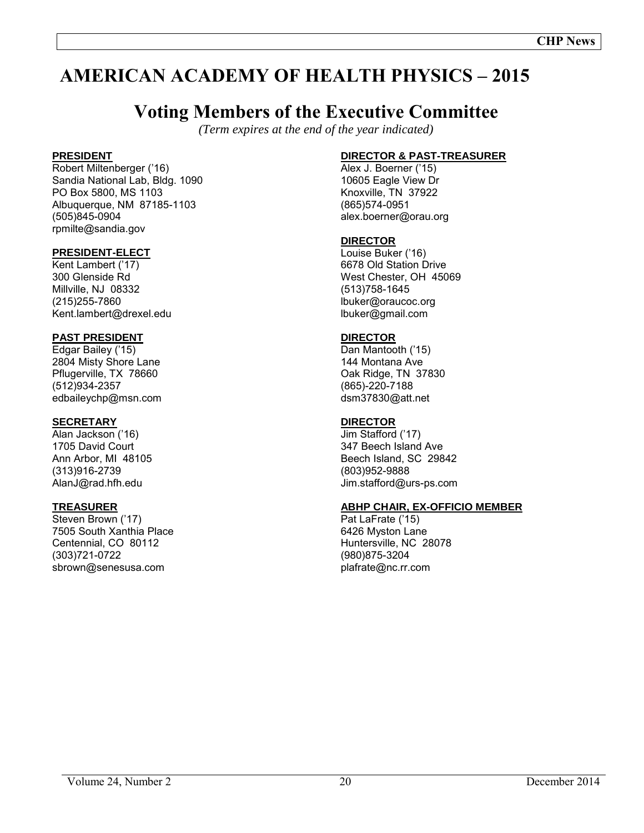# **AMERICAN ACADEMY OF HEALTH PHYSICS – 2015**

# **Voting Members of the Executive Committee**

*(Term expires at the end of the year indicated)*

### **PRESIDENT**

Robert Miltenberger ('16) Sandia National Lab, Bldg. 1090 PO Box 5800, MS 1103 Albuquerque, NM 87185-1103 (505)845-0904 rpmilte@sandia.gov

#### **PRESIDENT-ELECT**

Kent Lambert ('17) 300 Glenside Rd Millville, NJ 08332 (215)255-7860 Kent.lambert@drexel.edu

# **PAST PRESIDENT**

Edgar Bailey ('15) 2804 Misty Shore Lane Pflugerville, TX 78660 (512)934-2357 edbaileychp@msn.com

### **SECRETARY**

Alan Jackson ('16) 1705 David Court Ann Arbor, MI 48105 (313)916-2739 AlanJ@rad.hfh.edu

#### **TREASURER**

Steven Brown ('17) 7505 South Xanthia Place Centennial, CO 80112 (303)721-0722 sbrown@senesusa.com

# **DIRECTOR & PAST-TREASURER**

Alex J. Boerner ('15) 10605 Eagle View Dr Knoxville, TN 37922 (865)574-0951 alex.boerner@orau.org

#### **DIRECTOR**

Louise Buker ('16) 6678 Old Station Drive West Chester, OH 45069 (513)758-1645 lbuker@oraucoc.org lbuker@gmail.com

#### **DIRECTOR**

Dan Mantooth ('15) 144 Montana Ave Oak Ridge, TN 37830 (865)-220-7188 dsm37830@att.net

### **DIRECTOR**

Jim Stafford ('17) 347 Beech Island Ave Beech Island, SC 29842 (803)952-9888 Jim.stafford@urs-ps.com

#### **ABHP CHAIR, EX-OFFICIO MEMBER**

Pat LaFrate ('15) 6426 Myston Lane Huntersville, NC 28078 (980)875-3204 plafrate@nc.rr.com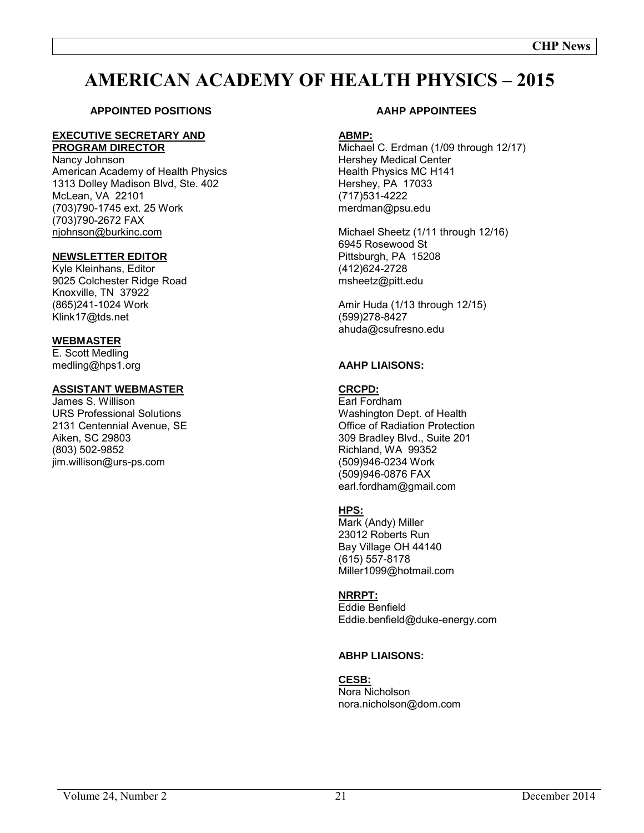# **AMERICAN ACADEMY OF HEALTH PHYSICS – 2015**

# **APPOINTED POSITIONS**

#### **EXECUTIVE SECRETARY AND PROGRAM DIRECTOR**

Nancy Johnson American Academy of Health Physics 1313 Dolley Madison Blvd, Ste. 402 McLean, VA 22101 (703)790-1745 ext. 25 Work (703)790-2672 FAX [njohnson@burkinc.com](mailto:njohnson@burkinc.com)

#### **NEWSLETTER EDITOR**

Kyle Kleinhans, Editor 9025 Colchester Ridge Road Knoxville, TN 37922 (865)241-1024 Work Klink17@tds.net

#### **WEBMASTER**

E. Scott Medling medling@hps1.org

#### **ASSISTANT WEBMASTER**

James S. Willison URS Professional Solutions 2131 Centennial Avenue, SE Aiken, SC 29803 (803) 502-9852 jim.willison@urs-ps.com

#### **AAHP APPOINTEES**

#### **ABMP:**

Michael C. Erdman (1/09 through 12/17) Hershey Medical Center Health Physics MC H141 Hershey, PA 17033 (717)531-4222 merdman@psu.edu

Michael Sheetz (1/11 through 12/16) 6945 Rosewood St Pittsburgh, PA 15208 (412)624-2728 msheetz@pitt.edu

Amir Huda (1/13 through 12/15) (599)278-8427 ahuda@csufresno.edu

#### **AAHP LIAISONS:**

#### **CRCPD:**

Earl Fordham Washington Dept. of Health Office of Radiation Protection 309 Bradley Blvd., Suite 201 Richland, WA 99352 (509)946-0234 Work (509)946-0876 FAX earl.fordham@gmail.com

#### **HPS:**

Mark (Andy) Miller 23012 Roberts Run Bay Village OH 44140 (615) 557-8178 Miller1099@hotmail.com

#### **NRRPT:**

Eddie Benfield Eddie.benfield@duke-energy.com

#### **ABHP LIAISONS:**

#### **CESB:**

Nora Nicholson nora.nicholson@dom.com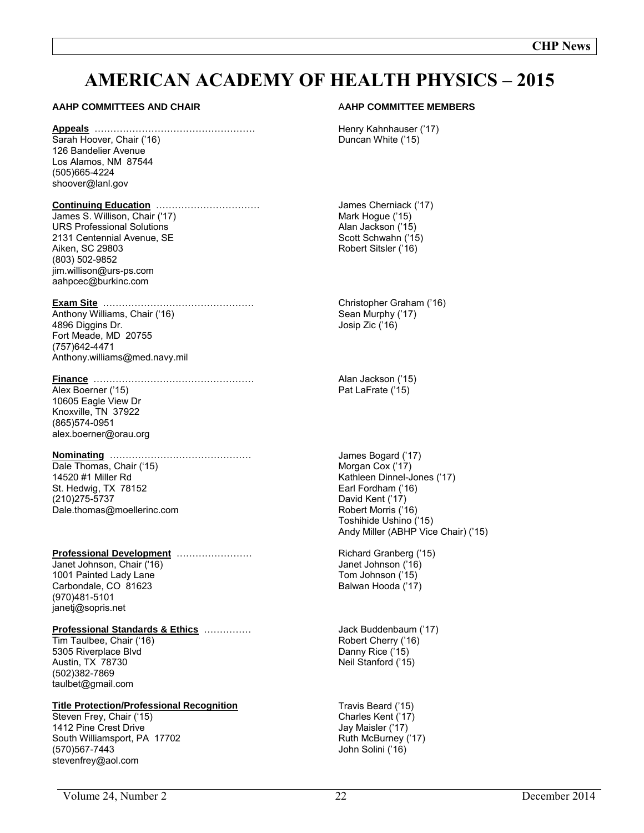# **AMERICAN ACADEMY OF HEALTH PHYSICS – 2015**

#### **AAHP COMMITTEES AND CHAIR**

#### **Appeals** ……………………………………………

Sarah Hoover, Chair ('16) 126 Bandelier Avenue Los Alamos, NM 87544 (505)665-4224 shoover@lanl.gov

#### **Continuing Education** ……………………………

James S. Willison, Chair ('17) URS Professional Solutions 2131 Centennial Avenue, SE Aiken, SC 29803 (803) 502-9852 jim.willison@urs-ps.com aahpcec@burkinc.com

#### **Exam Site** …………………………………………

Anthony Williams, Chair ('16) 4896 Diggins Dr. Fort Meade, MD 20755 (757)642-4471 Anthony.williams@med.navy.mil

#### **Finance** ……………………………………………

Alex Boerner ('15) 10605 Eagle View Dr Knoxville, TN 37922 (865)574-0951 alex.boerner@orau.org

# **Nominating** ………………………………………

Dale Thomas, Chair ('15) 14520 #1 Miller Rd St. Hedwig, TX 78152 (210)275-5737 Dale.thomas@moellerinc.com

#### **Professional Development** ……………………

Janet Johnson, Chair ('16) 1001 Painted Lady Lane Carbondale, CO 81623 (970)481-5101 janetj@sopris.net

#### **Professional Standards & Ethics** ……………

Tim Taulbee, Chair ('16) 5305 Riverplace Blvd Austin, TX 78730 (502)382-7869 taulbet@gmail.com

#### **Title Protection/Professional Recognition**

Steven Frey, Chair ('15) 1412 Pine Crest Drive South Williamsport, PA 17702 (570)567-7443 stevenfrey@aol.com

#### A**AHP COMMITTEE MEMBERS**

Henry Kahnhauser ('17) Duncan White ('15)

James Cherniack ('17) Mark Hogue ('15) Alan Jackson ('15) Scott Schwahn ('15) Robert Sitsler ('16)

Christopher Graham ('16) Sean Murphy ('17) Josip Zic ('16)

Alan Jackson ('15) Pat LaFrate ('15)

James Bogard ('17) Morgan Cox ('17) Kathleen Dinnel-Jones ('17) Earl Fordham ('16) David Kent ('17) Robert Morris ('16) Toshihide Ushino ('15) Andy Miller (ABHP Vice Chair) ('15)

Richard Granberg ('15) Janet Johnson ('16) Tom Johnson ('15) Balwan Hooda ('17)

Jack Buddenbaum ('17) Robert Cherry ('16) Danny Rice ('15) Neil Stanford ('15)

Travis Beard ('15) Charles Kent ('17) Jay Maisler ('17) Ruth McBurney ('17) John Solini ('16)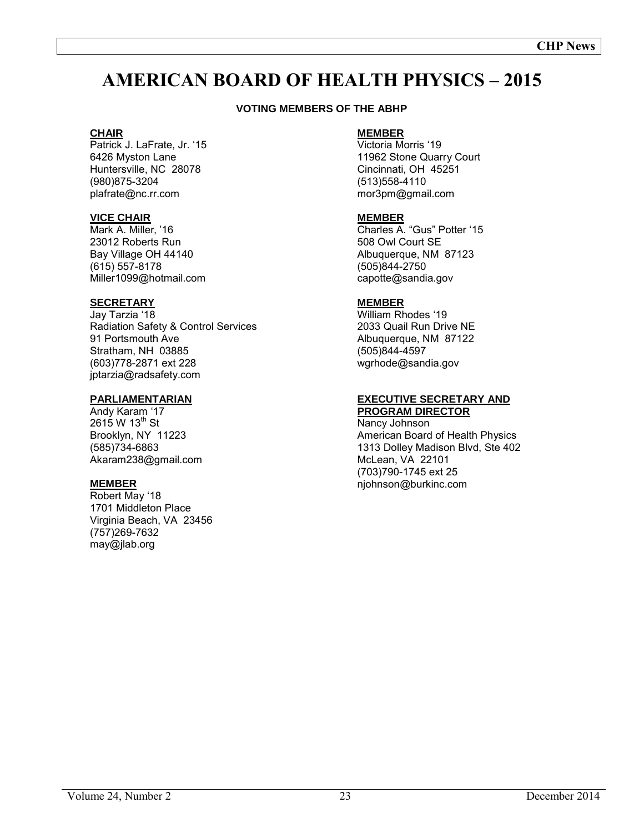# **AMERICAN BOARD OF HEALTH PHYSICS – 2015**

#### **VOTING MEMBERS OF THE ABHP**

#### **CHAIR**

Patrick J. LaFrate, Jr. '15 6426 Myston Lane Huntersville, NC 28078 (980)875-3204 plafrate@nc.rr.com

#### **VICE CHAIR**

Mark A. Miller, '16 23012 Roberts Run Bay Village OH 44140 (615) 557-8178 Miller1099@hotmail.com

#### **SECRETARY**

Jay Tarzia '18 Radiation Safety & Control Services 91 Portsmouth Ave Stratham, NH 03885 (603)778-2871 ext 228 jptarzia@radsafety.com

#### **PARLIAMENTARIAN**

Andy Karam '17  $2615 W 13^{th}$  St Brooklyn, NY 11223 (585)734-6863 Akaram238@gmail.com

#### **MEMBER**

Robert May '18 1701 Middleton Place Virginia Beach, VA 23456 (757)269-7632 may@jlab.org

# **MEMBER**

Victoria Morris '19 11962 Stone Quarry Court Cincinnati, OH 45251 (513)558-4110 mor3pm@gmail.com

#### **MEMBER**

Charles A. "Gus" Potter '15 508 Owl Court SE Albuquerque, NM 87123 (505)844-2750 capotte@sandia.gov

#### **MEMBER**

William Rhodes '19 2033 Quail Run Drive NE Albuquerque, NM 87122 (505)844-4597 wgrhode@sandia.gov

#### **EXECUTIVE SECRETARY AND PROGRAM DIRECTOR**

Nancy Johnson American Board of Health Physics 1313 Dolley Madison Blvd, Ste 402 McLean, VA 22101 (703)790-1745 ext 25 njohnson@burkinc.com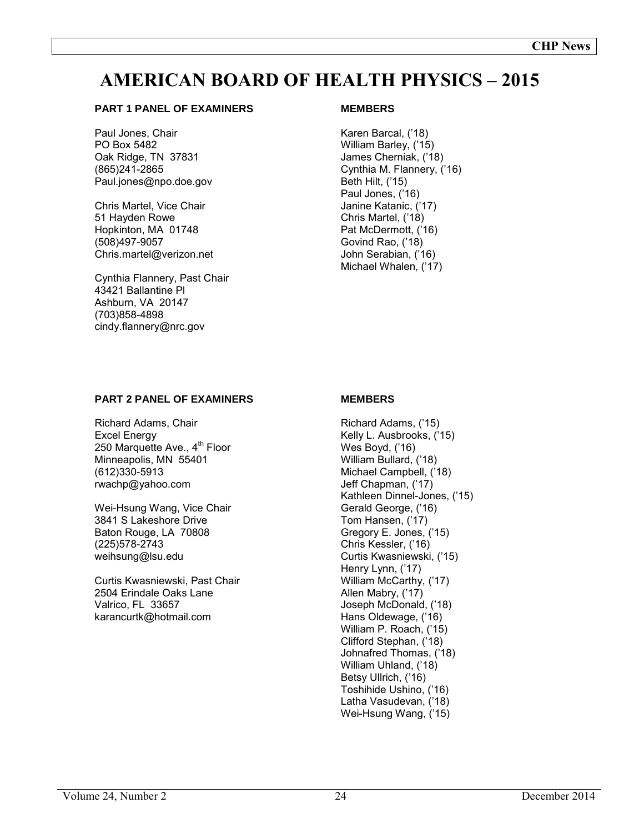# **AMERICAN BOARD OF HEALTH PHYSICS – 2015**

#### **PART 1 PANEL OF EXAMINERS**

Paul Jones, Chair PO Box 5482 Oak Ridge, TN 37831 (865)241-2865 Paul.jones@npo.doe.gov

Chris Martel, Vice Chair 51 Hayden Rowe Hopkinton, MA 01748 (508)497-9057 Chris.martel@verizon.net

Cynthia Flannery, Past Chair 43421 Ballantine Pl Ashburn, VA 20147 (703)858-4898 cindy.flannery@nrc.gov

#### **MEMBERS**

Karen Barcal, ('18) William Barley, ('15) James Cherniak, ('18) Cynthia M. Flannery, ('16) Beth Hilt, ('15) Paul Jones, ('16) Janine Katanic, ('17) Chris Martel, ('18) Pat McDermott, ('16) Govind Rao, ('18) John Serabian, ('16) Michael Whalen, ('17)

#### **PART 2 PANEL OF EXAMINERS**

Richard Adams, Chair Excel Energy 250 Marquette Ave., 4<sup>th</sup> Floor Minneapolis, MN 55401 (612)330-5913 rwachp@yahoo.com

Wei-Hsung Wang, Vice Chair 3841 S Lakeshore Drive Baton Rouge, LA 70808 (225)578-2743 weihsung@lsu.edu

Curtis Kwasniewski, Past Chair 2504 Erindale Oaks Lane Valrico, FL 33657 karancurtk@hotmail.com

#### **MEMBERS**

Richard Adams, ('15) Kelly L. Ausbrooks, ('15) Wes Boyd, ('16) William Bullard, ('18) Michael Campbell, ('18) Jeff Chapman, ('17) Kathleen Dinnel-Jones, ('15) Gerald George, ('16) Tom Hansen, ('17) Gregory E. Jones, ('15) Chris Kessler, ('16) Curtis Kwasniewski, ('15) Henry Lynn, ('17) William McCarthy, ('17) Allen Mabry, ('17) Joseph McDonald, ('18) Hans Oldewage, ('16) William P. Roach, ('15) Clifford Stephan, ('18) Johnafred Thomas, ('18) William Uhland, ('18) Betsy Ullrich, ('16) Toshihide Ushino, ('16) Latha Vasudevan, ('18) Wei-Hsung Wang, ('15)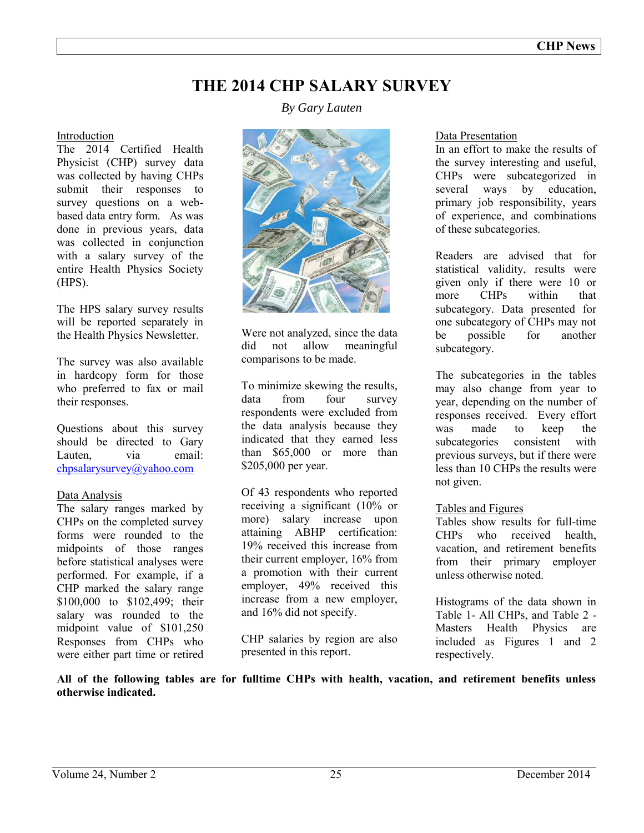# **THE 2014 CHP SALARY SURVEY**

#### Introduction

The 2014 Certified Health Physicist (CHP) survey data was collected by having CHPs submit their responses to survey questions on a webbased data entry form. As was done in previous years, data was collected in conjunction with a salary survey of the entire Health Physics Society (HPS).

The HPS salary survey results will be reported separately in the Health Physics Newsletter.

The survey was also available in hardcopy form for those who preferred to fax or mail their responses.

Questions about this survey should be directed to Gary Lauten. via email: [chpsalarysurvey@yahoo.com](mailto:glauten@hotmail.com) 

#### Data Analysis

The salary ranges marked by CHPs on the completed survey forms were rounded to the midpoints of those ranges before statistical analyses were performed. For example, if a CHP marked the salary range \$100,000 to \$102,499; their salary was rounded to the midpoint value of \$101,250 Responses from CHPs who were either part time or retired *By Gary Lauten* 



Were not analyzed, since the data did not allow meaningful comparisons to be made.

To minimize skewing the results, data from four survey respondents were excluded from the data analysis because they indicated that they earned less than \$65,000 or more than \$205,000 per year.

Of 43 respondents who reported receiving a significant (10% or more) salary increase upon attaining ABHP certification: 19% received this increase from their current employer, 16% from a promotion with their current employer, 49% received this increase from a new employer, and 16% did not specify.

CHP salaries by region are also presented in this report.

#### Data Presentation

In an effort to make the results of the survey interesting and useful, CHPs were subcategorized in several ways by education, primary job responsibility, years of experience, and combinations of these subcategories.

Readers are advised that for statistical validity, results were given only if there were 10 or<br>more CHPs within that more CHPs within that subcategory. Data presented for one subcategory of CHPs may not be possible for another subcategory.

The subcategories in the tables may also change from year to year, depending on the number of responses received. Every effort was made to keep the subcategories consistent with previous surveys, but if there were less than 10 CHPs the results were not given.

#### Tables and Figures

Tables show results for full-time CHPs who received health vacation, and retirement benefits from their primary employer unless otherwise noted.

Histograms of the data shown in Table 1- All CHPs, and Table 2 - Masters Health Physics are included as Figures 1 and 2 respectively.

**All of the following tables are for fulltime CHPs with health, vacation, and retirement benefits unless otherwise indicated.**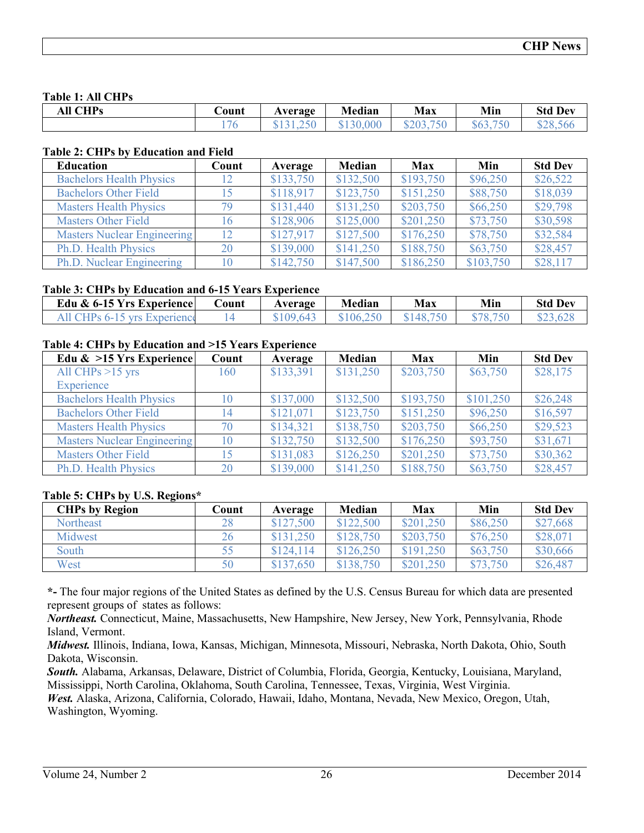#### **Table 1: All CHPs**

| .<br><b>CHPs</b><br>эu | ∪ount | Average                                              | Median                          | <b>Max</b>              | Min                                                                 | <b>Std Dev</b>        |
|------------------------|-------|------------------------------------------------------|---------------------------------|-------------------------|---------------------------------------------------------------------|-----------------------|
|                        |       | $\sim$ $\sim$ $\sim$<br>$\tilde{\phantom{a}}$<br>. . | 000<br>120<br>.JU<br><b>. .</b> | $- - -$<br>8203<br>╜᠘Ⴎၪ | $- - -$<br>$\wedge$ $\wedge$<br>563.<br>$\mathcal{D}^{\mathcal{U}}$ | 00056<br>roc<br>ن.ە∠ە |

#### **Table 2: CHPs by Education and Field**

| <b>Education</b>                   | Count | Average   | Median    | <b>Max</b> | Min       | <b>Std Dev</b> |
|------------------------------------|-------|-----------|-----------|------------|-----------|----------------|
| <b>Bachelors Health Physics</b>    | 12    | \$133,750 | \$132,500 | \$193,750  | \$96,250  | \$26,522       |
| <b>Bachelors Other Field</b>       |       | \$118,917 | \$123,750 | \$151,250  | \$88,750  | \$18,039       |
| <b>Masters Health Physics</b>      | 79    | \$131,440 | \$131,250 | \$203,750  | \$66,250  | \$29,798       |
| <b>Masters Other Field</b>         | 16    | \$128,906 | \$125,000 | \$201,250  | \$73,750  | \$30,598       |
| <b>Masters Nuclear Engineering</b> | 12    | \$127,917 | \$127,500 | \$176,250  | \$78,750  | \$32,584       |
| Ph.D. Health Physics               | 20    | \$139,000 | \$141,250 | \$188,750  | \$63,750  | \$28,457       |
| Ph.D. Nuclear Engineering          | 10    | \$142,750 | \$147,500 | \$186,250  | \$103,750 | \$28,117       |

#### **Table 3: CHPs by Education and 6-15 Years Experience**

| Edu & 6-15 Yrs Experience    | .`ount | Average                 | Median           | Max       | Min | <b>Std Dev</b> |
|------------------------------|--------|-------------------------|------------------|-----------|-----|----------------|
| All CHPs 6-15 yrs Experience |        | 0017<br>64 <sup>-</sup> | <b>SO</b><br>106 | \$148.750 |     |                |

#### **Table 4: CHPs by Education and >15 Years Experience**

| Edu $\&$ >15 Yrs Experience        | Count | Average   | <b>Median</b> | <b>Max</b> | Min       | <b>Std Dev</b> |
|------------------------------------|-------|-----------|---------------|------------|-----------|----------------|
| All CHPs $>15$ yrs                 | 160   | \$133,391 | \$131,250     | \$203,750  | \$63,750  | \$28,175       |
| Experience                         |       |           |               |            |           |                |
| <b>Bachelors Health Physics</b>    | 10    | \$137,000 | \$132,500     | \$193,750  | \$101,250 | \$26,248       |
| <b>Bachelors Other Field</b>       | 14    | \$121,071 | \$123,750     | \$151,250  | \$96,250  | \$16,597       |
| <b>Masters Health Physics</b>      | 70    | \$134,321 | \$138,750     | \$203,750  | \$66,250  | \$29,523       |
| <b>Masters Nuclear Engineering</b> | 10    | \$132,750 | \$132,500     | \$176,250  | \$93,750  | \$31,671       |
| <b>Masters Other Field</b>         |       | \$131,083 | \$126,250     | \$201,250  | \$73,750  | \$30,362       |
| Ph.D. Health Physics               | 20    | \$139,000 | \$141,250     | \$188,750  | \$63,750  | \$28,457       |

#### **Table 5: CHPs by U.S. Regions\***

| <b>CHPs by Region</b> | Count | Average   | Median    | Max       | Min      | <b>Std Dev</b> |
|-----------------------|-------|-----------|-----------|-----------|----------|----------------|
| <b>Northeast</b>      | 28    | \$127,500 | \$122,500 | \$201,250 | \$86,250 | \$27,668       |
| Midwest               | 26    | \$131,250 | \$128,750 | \$203,750 | \$76,250 | \$28,071       |
| South                 | 55    | \$124,114 | \$126,250 | \$191,250 | \$63,750 | \$30,666       |
| West                  | 50    | \$137,650 | \$138,750 | \$201,250 | \$73,750 | \$26,487       |

**\*-** The four major regions of the United States as defined by the U.S. Census Bureau for which data are presented represent groups of states as follows:

*Northeast.* Connecticut, Maine, Massachusetts, New Hampshire, New Jersey, New York, Pennsylvania, Rhode Island, Vermont.

*Midwest.* Illinois, Indiana, Iowa, Kansas, Michigan, Minnesota, Missouri, Nebraska, North Dakota, Ohio, South Dakota, Wisconsin.

*South.* Alabama, Arkansas, Delaware, District of Columbia, Florida, Georgia, Kentucky, Louisiana, Maryland, Mississippi, North Carolina, Oklahoma, South Carolina, Tennessee, Texas, Virginia, West Virginia.

*West.* Alaska, Arizona, California, Colorado, Hawaii, Idaho, Montana, Nevada, New Mexico, Oregon, Utah, Washington, Wyoming.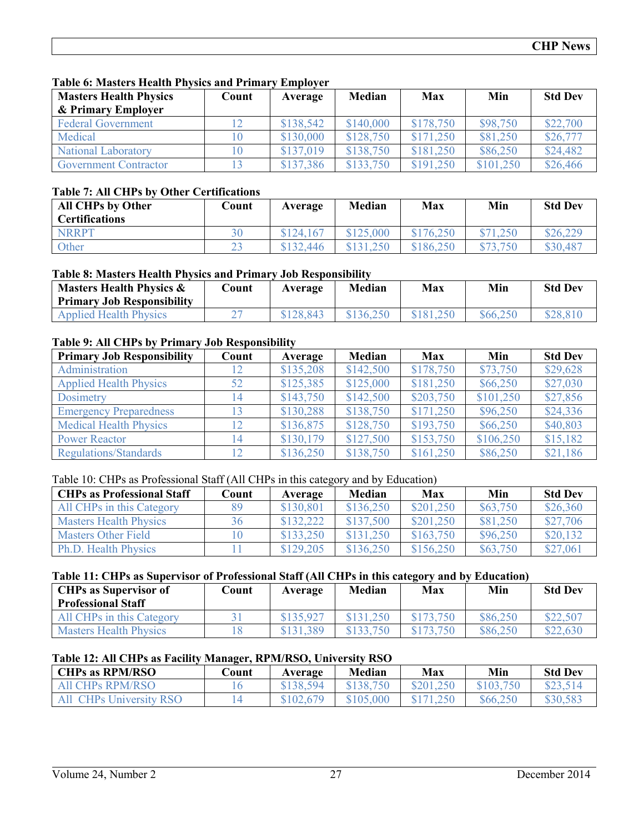#### **Table 6: Masters Health Physics and Primary Employer**

| <b>Masters Health Physics</b> | Count | Average   | Median    | Max       | Min       | <b>Std Dev</b> |
|-------------------------------|-------|-----------|-----------|-----------|-----------|----------------|
| & Primary Employer            |       |           |           |           |           |                |
| <b>Federal Government</b>     |       | \$138,542 | \$140,000 | \$178,750 | \$98,750  | \$22,700       |
| Medical                       |       | \$130,000 | \$128,750 | \$171.250 | \$81,250  | \$26,777       |
| <b>National Laboratory</b>    |       | \$137,019 | \$138,750 | \$181,250 | \$86,250  | \$24,482       |
| <b>Government Contractor</b>  |       | \$137,386 | \$133,750 | \$191.250 | \$101,250 | \$26,466       |

#### **Table 7: All CHPs by Other Certifications**

| <b>All CHPs by Other</b><br><b>Certifications</b> | Count | Average   | Median    | Max       | Min          | <b>Std Dev</b> |
|---------------------------------------------------|-------|-----------|-----------|-----------|--------------|----------------|
| <b>NRRPT</b>                                      | 30    | \$124,167 | \$125,000 | \$176,250 | \$71,250     | \$26,229       |
| <b>Other</b>                                      |       | \$132,446 | \$131,250 | \$186,250 | $\sqrt{750}$ | \$30,487       |

### **Table 8: Masters Health Physics and Primary Job Responsibility**

| <b>Masters Health Physics &amp;</b><br><b>Primary Job Responsibility</b> | .`ount | Average   | <b>Median</b> | Max       | Min      | <b>Std Dev</b> |
|--------------------------------------------------------------------------|--------|-----------|---------------|-----------|----------|----------------|
| <b>Applied Health Physics</b>                                            |        | \$128.843 | 136.250       | \$181.250 | \$66,250 | \$28,810       |

### **Table 9: All CHPs by Primary Job Responsibility**

| <b>Primary Job Responsibility</b> | Count | Average   | Median    | Max       | Min       | <b>Std Dev</b> |
|-----------------------------------|-------|-----------|-----------|-----------|-----------|----------------|
| Administration                    | 12    | \$135,208 | \$142,500 | \$178,750 | \$73,750  | \$29,628       |
| <b>Applied Health Physics</b>     | 52    | \$125,385 | \$125,000 | \$181,250 | \$66,250  | \$27,030       |
| Dosimetry                         | 14    | \$143,750 | \$142,500 | \$203,750 | \$101,250 | \$27,856       |
| <b>Emergency Preparedness</b>     | 13    | \$130,288 | \$138,750 | \$171,250 | \$96,250  | \$24,336       |
| <b>Medical Health Physics</b>     | 12    | \$136,875 | \$128,750 | \$193,750 | \$66,250  | \$40,803       |
| <b>Power Reactor</b>              | 14    | \$130,179 | \$127,500 | \$153,750 | \$106,250 | \$15,182       |
| <b>Regulations/Standards</b>      |       | \$136,250 | \$138,750 | \$161,250 | \$86,250  | \$21,186       |

# Table 10: CHPs as Professional Staff (All CHPs in this category and by Education)

| <b>CHPs as Professional Staff</b> | Count | Average   | <b>Median</b> | Max       | Min      | <b>Std Dev</b> |
|-----------------------------------|-------|-----------|---------------|-----------|----------|----------------|
| All CHPs in this Category         | 89    | \$130.801 | \$136,250     | \$201,250 | \$63,750 | \$26,360       |
| <b>Masters Health Physics</b>     | 36    | \$132,222 | \$137,500     | \$201,250 | \$81,250 | \$27,706       |
| <b>Masters Other Field</b>        |       | \$133,250 | \$131.250     | \$163,750 | \$96,250 | \$20,132       |
| <b>Ph.D. Health Physics</b>       |       | \$129,205 | \$136,250     | \$156,250 | \$63,750 | \$27,061       |

#### **Table 11: CHPs as Supervisor of Professional Staff (All CHPs in this category and by Education)**

| <b>CHPs as Supervisor of</b><br><b>Professional Staff</b> | Count | Average   | Median | Max       | Min      | <b>Std Dev</b> |
|-----------------------------------------------------------|-------|-----------|--------|-----------|----------|----------------|
| All CHPs in this Category                                 |       | \$135,927 |        | \$173,750 | \$86,250 | \$22,507       |
| <b>Masters Health Physics</b>                             |       | .389      |        | 3.750     | \$86,250 | \$22,630       |

#### **Table 12: All CHPs as Facility Manager, RPM/RSO, University RSO**

| <b>CHPs as RPM/RSO</b>  | .)ount | Average   | Median           | Max       | Min      | <b>Std Dev</b> |
|-------------------------|--------|-----------|------------------|-----------|----------|----------------|
| <b>All CHPs RPM/RSO</b> |        | \$138,594 | $\sqrt{138,750}$ | \$201,250 |          | \$23,514       |
| All CHPs University RSO |        | \$102,679 | \$105,000        | .250      | \$66,250 | \$30,583       |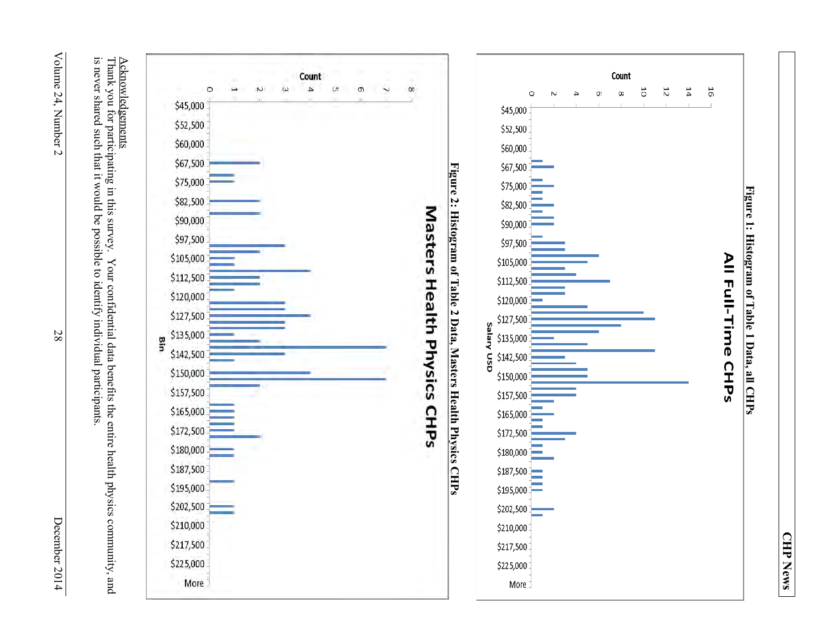

Volume 24, Number 2 Volume 24, Number 2

28

December 2014 December 2014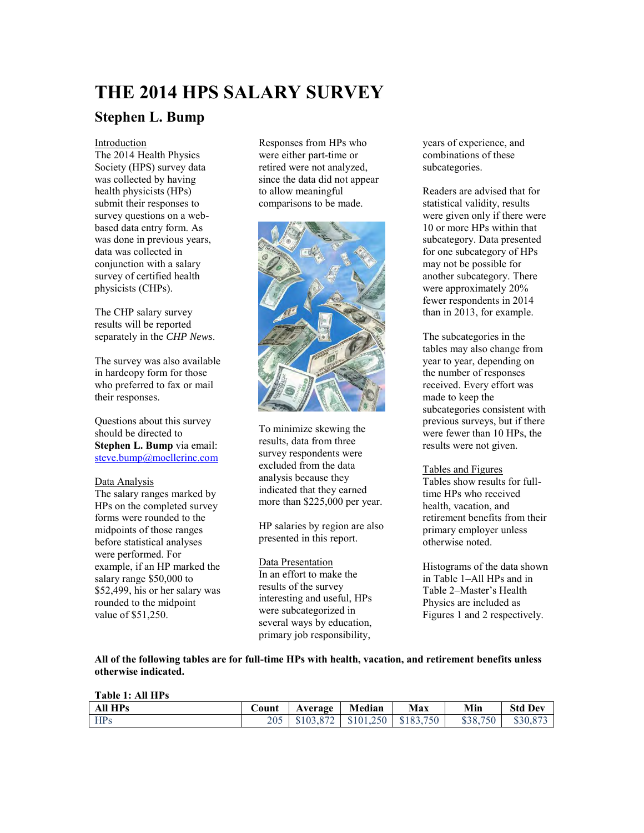# **THE 2014 HPS SALARY SURVEY**

# **Stephen L. Bump**

#### Introduction

The 2014 Health Physics Society (HPS) survey data was collected by having health physicists (HPs) submit their responses to survey questions on a webbased data entry form. As was done in previous years, data was collected in conjunction with a salary survey of certified health physicists (CHPs).

The CHP salary survey results will be reported separately in the *CHP News*.

The survey was also available in hardcopy form for those who preferred to fax or mail their responses.

Questions about this survey should be directed to **Stephen L. Bump** via email: [steve.bump@moellerinc.com](mailto:steve.bump@moellerinc.com)

#### Data Analysis

The salary ranges marked by HPs on the completed survey forms were rounded to the midpoints of those ranges before statistical analyses were performed. For example, if an HP marked the salary range \$50,000 to \$52,499, his or her salary was rounded to the midpoint value of \$51,250.

Responses from HPs who were either part-time or retired were not analyzed, since the data did not appear to allow meaningful comparisons to be made.



To minimize skewing the results, data from three survey respondents were excluded from the data analysis because they indicated that they earned more than \$225,000 per year.

HP salaries by region are also presented in this report.

#### Data Presentation

In an effort to make the results of the survey interesting and useful, HPs were subcategorized in several ways by education, primary job responsibility,

years of experience, and combinations of these subcategories.

Readers are advised that for statistical validity, results were given only if there were 10 or more HPs within that subcategory. Data presented for one subcategory of HPs may not be possible for another subcategory. There were approximately 20% fewer respondents in 2014 than in 2013, for example.

The subcategories in the tables may also change from year to year, depending on the number of responses received. Every effort was made to keep the subcategories consistent with previous surveys, but if there were fewer than 10 HPs, the results were not given.

#### Tables and Figures

Tables show results for fulltime HPs who received health vacation and retirement benefits from their primary employer unless otherwise noted.

Histograms of the data shown in Table 1–All HPs and in Table 2–Master's Health Physics are included as Figures 1 and 2 respectively.

**All of the following tables are for full-time HPs with health, vacation, and retirement benefits unless otherwise indicated.** 

#### **Table 1: All HPs**

| <b>All HPs</b> | Count | Average   | Median | Max                    | Min      | <b>Std Dev</b> |
|----------------|-------|-----------|--------|------------------------|----------|----------------|
| <b>HPs</b>     | 205   | \$103,872 |        | $$101,250$   \$183,750 | \$38,750 |                |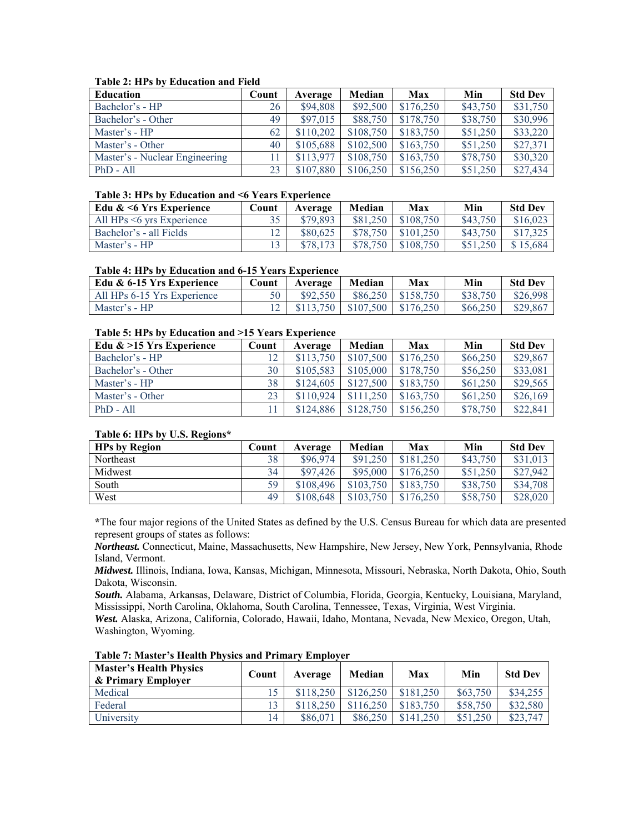#### **Table 2: HPs by Education and Field**

| Education                      | Count          | Average   | Median    | <b>Max</b> | Min      | <b>Std Dev</b> |
|--------------------------------|----------------|-----------|-----------|------------|----------|----------------|
| Bachelor's - HP                | 26             | \$94,808  | \$92,500  | \$176,250  | \$43,750 | \$31,750       |
| Bachelor's - Other             | 49             | \$97,015  | \$88,750  | \$178,750  | \$38,750 | \$30,996       |
| Master's - HP                  | 62             | \$110,202 | \$108,750 | \$183,750  | \$51,250 | \$33,220       |
| Master's - Other               | 40             | \$105,688 | \$102,500 | \$163,750  | \$51,250 | \$27,371       |
| Master's - Nuclear Engineering | $\overline{1}$ | \$113,977 | \$108,750 | \$163,750  | \$78,750 | \$30,320       |
| $PhD - All$                    | 23             | \$107.880 | \$106.250 | \$156,250  | \$51,250 | \$27,434       |

#### **Table 3: HPs by Education and <6 Years Experience**

| Edu $\< 6$ Yrs Experience       | Count | Average  | Median   | Max       | Min      | <b>Std Dev</b> |
|---------------------------------|-------|----------|----------|-----------|----------|----------------|
| All $HPs \leq 6$ vrs Experience |       | \$79,893 | \$81,250 | \$108.750 | \$43,750 | \$16.02        |
| Bachelor's - all Fields         |       | \$80,625 | \$78,750 | \$101.250 | \$43,750 |                |
| Master's - HP                   |       | \$78,173 | \$78,750 | \$108.750 |          | \$15.684       |

#### **Table 4: HPs by Education and 6-15 Years Experience**

| Edu & 6-15 Yrs Experience   | Count | Average   | Median                | Max                   | Min      | <b>Std Dev</b> |
|-----------------------------|-------|-----------|-----------------------|-----------------------|----------|----------------|
| All HPs 6-15 Yrs Experience |       | \$92,550  |                       | $$86,250$   \$158,750 | \$38,750 | \$26,998       |
| Master's - HP               |       | \$113,750 | $$107.500$ $$176.250$ |                       | \$66,250 | \$29.867       |

#### **Table 5: HPs by Education and >15 Years Experience**

| Edu $\&$ >15 Yrs Experience | Count | Average   | Median    | Max       | Min      | <b>Std Dev</b> |
|-----------------------------|-------|-----------|-----------|-----------|----------|----------------|
| Bachelor's - HP             |       | \$113,750 | \$107,500 | \$176,250 | \$66,250 | \$29,867       |
| Bachelor's - Other          | 30    | \$105,583 | \$105,000 | \$178,750 | \$56,250 | \$33,081       |
| Master's - HP               | 38    | \$124,605 | \$127,500 | \$183.750 | \$61,250 | \$29,565       |
| Master's - Other            | 23    | \$110,924 | \$111,250 | \$163,750 | \$61,250 | \$26,169       |
| $PhD - All$                 |       | \$124,886 | \$128.750 | \$156,250 | \$78,750 | \$22,841       |

#### **Table 6: HPs by U.S. Regions\***

| <b>HPs by Region</b> | Count | Average   | Median    | Max       | Min      | <b>Std Dev</b> |
|----------------------|-------|-----------|-----------|-----------|----------|----------------|
| <b>Northeast</b>     | 38    | \$96,974  | \$91,250  | \$181.250 | \$43,750 | \$31,013       |
| Midwest              | 34    | \$97,426  | \$95,000  | \$176.250 | \$51,250 | \$27,942       |
| South                | 59    | \$108.496 | \$103.750 | \$183,750 | \$38,750 | \$34,708       |
| West                 | 49    | \$108.648 | \$103.750 | \$176.250 | \$58,750 | \$28,020       |

**\***The four major regions of the United States as defined by the U.S. Census Bureau for which data are presented represent groups of states as follows:

*Northeast.* Connecticut, Maine, Massachusetts, New Hampshire, New Jersey, New York, Pennsylvania, Rhode Island, Vermont.

*Midwest.* Illinois, Indiana, Iowa, Kansas, Michigan, Minnesota, Missouri, Nebraska, North Dakota, Ohio, South Dakota, Wisconsin.

*South.* Alabama, Arkansas, Delaware, District of Columbia, Florida, Georgia, Kentucky, Louisiana, Maryland, Mississippi, North Carolina, Oklahoma, South Carolina, Tennessee, Texas, Virginia, West Virginia.

*West.* Alaska, Arizona, California, Colorado, Hawaii, Idaho, Montana, Nevada, New Mexico, Oregon, Utah, Washington, Wyoming.

| <b>Master's Health Physics</b><br>& Primary Employer | Count | Average   | Median    | Max         | Min      | <b>Std Dev</b> |
|------------------------------------------------------|-------|-----------|-----------|-------------|----------|----------------|
| Medical                                              |       | \$118.250 | \$126.250 | \$181.250   | \$63,750 | \$34,255       |
| Federal                                              |       | \$118.250 | \$116.250 | \$183.750   | \$58,750 | \$32,580       |
| University                                           | 14    | \$86.071  | \$86,250  | $$141\,250$ | \$51,250 | \$23,747       |

**Table 7: Master's Health Physics and Primary Employer**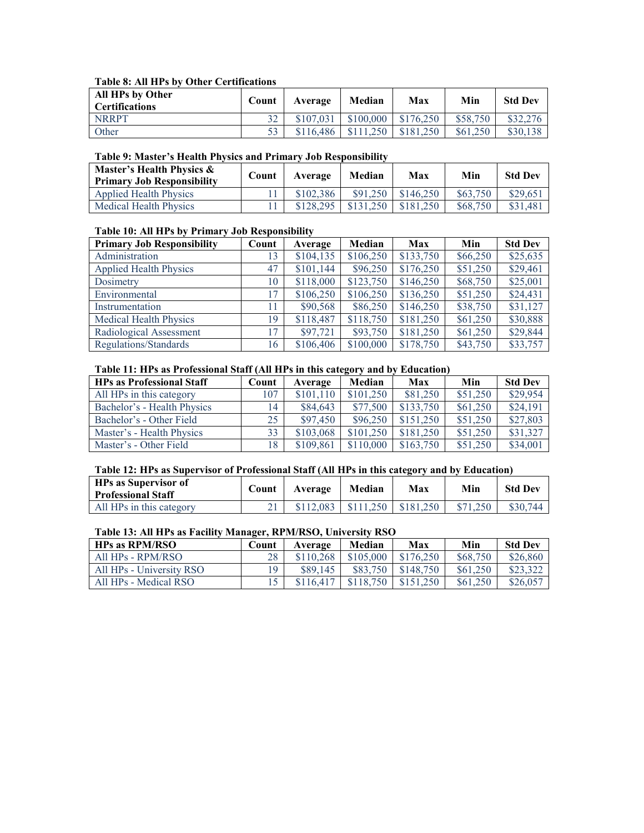#### **Table 8: All HPs by Other Certifications**

| All HPs by Other<br><b>Certifications</b> | Count | Average   | Median    | Max       | Min      | <b>Std Dev</b> |
|-------------------------------------------|-------|-----------|-----------|-----------|----------|----------------|
| <b>NRRPT</b>                              | 32    | \$107.031 | \$100,000 | \$176,250 | \$58,750 |                |
| Other                                     | 53    | \$116,486 |           | \$181.250 | \$61,250 | \$30.138       |

#### **Table 9: Master's Health Physics and Primary Job Responsibility**

| Master's Health Physics &<br><b>Primary Job Responsibility</b> | Count | Average   | Median     | Max       | Min      | <b>Std Dev</b> |
|----------------------------------------------------------------|-------|-----------|------------|-----------|----------|----------------|
| <b>Applied Health Physics</b>                                  |       | \$102.386 | $$91\,250$ | \$146.250 | \$63,750 | \$29,65        |
| <b>Medical Health Physics</b>                                  |       | \$128.295 | \$131.250  | \$181.250 | \$68,750 | \$31.48        |

#### **Table 10: All HPs by Primary Job Responsibility**

| <b>Primary Job Responsibility</b> | Count | Average   | Median    | <b>Max</b> | Min      | <b>Std Dev</b> |
|-----------------------------------|-------|-----------|-----------|------------|----------|----------------|
| Administration                    | 13    | \$104,135 | \$106,250 | \$133,750  | \$66,250 | \$25,635       |
| <b>Applied Health Physics</b>     | 47    | \$101,144 | \$96,250  | \$176,250  | \$51,250 | \$29,461       |
| Dosimetry                         | 10    | \$118,000 | \$123,750 | \$146,250  | \$68,750 | \$25,001       |
| Environmental                     | 17    | \$106,250 | \$106,250 | \$136,250  | \$51,250 | \$24,431       |
| Instrumentation                   | 11    | \$90,568  | \$86,250  | \$146,250  | \$38,750 | \$31,127       |
| <b>Medical Health Physics</b>     | 19    | \$118,487 | \$118,750 | \$181,250  | \$61,250 | \$30,888       |
| Radiological Assessment           | 17    | \$97,721  | \$93,750  | \$181,250  | \$61,250 | \$29,844       |
| Regulations/Standards             | 16    | \$106,406 | \$100,000 | \$178,750  | \$43,750 | \$33,757       |

#### **Table 11: HPs as Professional Staff (All HPs in this category and by Education)**

| <b>HPs as Professional Staff</b> | Count | Average   | Median    | Max       | Min      | <b>Std Dev</b> |
|----------------------------------|-------|-----------|-----------|-----------|----------|----------------|
| All HPs in this category         | 107   | \$101,110 | \$101,250 | \$81,250  | \$51,250 | \$29,954       |
| Bachelor's - Health Physics      | 14    | \$84,643  | \$77,500  | \$133,750 | \$61,250 | \$24,191       |
| Bachelor's - Other Field         | 25.   | \$97,450  | \$96,250  | \$151,250 | \$51,250 | \$27,803       |
| Master's - Health Physics        | 33    | \$103,068 | \$101.250 | \$181.250 | \$51,250 | \$31,327       |
| Master's - Other Field           | 18    | \$109,861 | \$110,000 | \$163,750 | \$51,250 | \$34,001       |

#### **Table 12: HPs as Supervisor of Professional Staff (All HPs in this category and by Education)**

| <b>HPs as Supervisor of</b><br><b>Professional Staff</b> | Count | Average   | Median | Max                      | Min | <b>Std Dev</b> |
|----------------------------------------------------------|-------|-----------|--------|--------------------------|-----|----------------|
| All HPs in this category                                 |       | \$112.083 |        | $$111.250 \mid $181.250$ |     | \$30,744       |

#### **Table 13: All HPs as Facility Manager, RPM/RSO, University RSO**

| <b>HPs as RPM/RSO</b>    | Count | Average   | Median    | Max       | Min      | <b>Std Dev</b> |
|--------------------------|-------|-----------|-----------|-----------|----------|----------------|
| All HPs - RPM/RSO        | 28    | \$110.268 | \$105,000 | \$176.250 | \$68,750 | \$26,860       |
| All HPs - University RSO | 19    | \$89.145  | \$83.750  | \$148.750 | \$61,250 | \$23,322       |
| All HPs - Medical RSO    |       | \$116.417 | \$118.750 | \$151.250 | \$61,250 | \$26,057       |